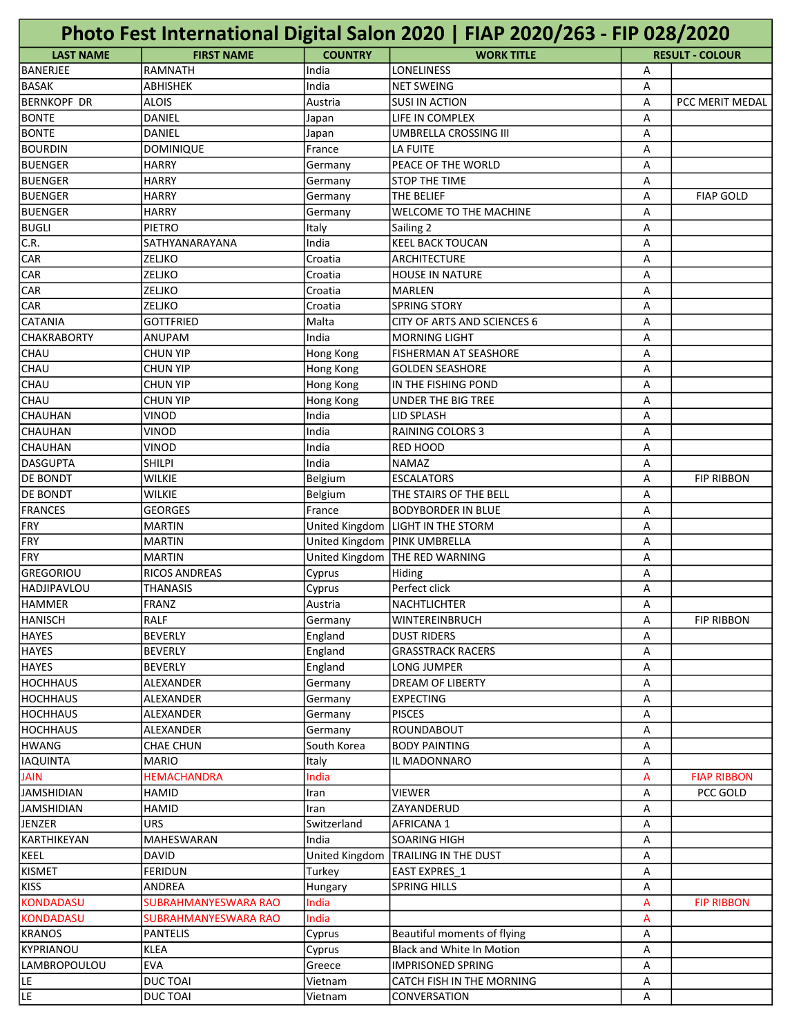| Photo Fest International Digital Salon 2020   FIAP 2020/263 - FIP 028/2020 |                      |                |                                  |   |                        |
|----------------------------------------------------------------------------|----------------------|----------------|----------------------------------|---|------------------------|
| <b>LAST NAME</b>                                                           | <b>FIRST NAME</b>    | <b>COUNTRY</b> | <b>WORK TITLE</b>                |   | <b>RESULT - COLOUR</b> |
| BANERJEE                                                                   | <b>RAMNATH</b>       | India          | <b>LONELINESS</b>                | Α |                        |
| <b>BASAK</b>                                                               | <b>ABHISHEK</b>      | India          | <b>NET SWEING</b>                | А |                        |
| <b>BERNKOPF DR</b>                                                         | <b>ALOIS</b>         | Austria        | <b>SUSI IN ACTION</b>            | A | PCC MERIT MEDAL        |
| <b>BONTE</b>                                                               | DANIEL               | Japan          | LIFE IN COMPLEX                  | A |                        |
| <b>BONTE</b>                                                               | DANIEL               | Japan          | UMBRELLA CROSSING III            | A |                        |
| <b>BOURDIN</b>                                                             | <b>DOMINIQUE</b>     | France         | LA FUITE                         | A |                        |
| BUENGER                                                                    | <b>HARRY</b>         | Germany        | PEACE OF THE WORLD               | A |                        |
| <b>BUENGER</b>                                                             | <b>HARRY</b>         | Germany        | <b>STOP THE TIME</b>             | А |                        |
| <b>BUENGER</b>                                                             | <b>HARRY</b>         | Germany        | THE BELIEF                       | A | <b>FIAP GOLD</b>       |
| <b>BUENGER</b>                                                             | <b>HARRY</b>         | Germany        | WELCOME TO THE MACHINE           | A |                        |
| <b>BUGLI</b>                                                               | <b>PIETRO</b>        | Italy          | Sailing 2                        | A |                        |
| C.R.                                                                       | SATHYANARAYANA       | India          | <b>KEEL BACK TOUCAN</b>          | A |                        |
| <b>CAR</b>                                                                 | ZELJKO               | Croatia        | ARCHITECTURE                     | A |                        |
| <b>CAR</b>                                                                 | ZELJKO               | Croatia        | <b>HOUSE IN NATURE</b>           | A |                        |
| <b>CAR</b>                                                                 | ZELJKO               | Croatia        | <b>MARLEN</b>                    | А |                        |
| <b>CAR</b>                                                                 | ZELJKO               | Croatia        | <b>SPRING STORY</b>              | А |                        |
| <b>CATANIA</b>                                                             | <b>GOTTFRIED</b>     | Malta          | CITY OF ARTS AND SCIENCES 6      | А |                        |
| <b>CHAKRABORTY</b>                                                         | ANUPAM               | India          | <b>MORNING LIGHT</b>             | A |                        |
| <b>CHAU</b>                                                                | <b>CHUN YIP</b>      | Hong Kong      | <b>FISHERMAN AT SEASHORE</b>     | A |                        |
| <b>CHAU</b>                                                                | <b>CHUN YIP</b>      | Hong Kong      | <b>GOLDEN SEASHORE</b>           | A |                        |
| <b>CHAU</b>                                                                | <b>CHUN YIP</b>      | Hong Kong      | IN THE FISHING POND              | А |                        |
| <b>CHAU</b>                                                                | CHUN YIP             | Hong Kong      | <b>UNDER THE BIG TREE</b>        | А |                        |
| CHAUHAN                                                                    | VINOD                | India          | LID SPLASH                       | А |                        |
| CHAUHAN                                                                    | VINOD                | India          | RAINING COLORS 3                 | А |                        |
| CHAUHAN                                                                    | VINOD                | India          | <b>RED HOOD</b>                  | A |                        |
| DASGUPTA                                                                   | <b>SHILPI</b>        | India          | <b>NAMAZ</b>                     | A |                        |
| <b>DE BONDT</b>                                                            | <b>WILKIE</b>        | Belgium        | <b>ESCALATORS</b>                | A | <b>FIP RIBBON</b>      |
| <b>DE BONDT</b>                                                            | <b>WILKIE</b>        | Belgium        | THE STAIRS OF THE BELL           | A |                        |
| FRANCES                                                                    | <b>GEORGES</b>       | France         | <b>BODYBORDER IN BLUE</b>        | А |                        |
| FRY                                                                        | <b>MARTIN</b>        | United Kingdom | <b>LIGHT IN THE STORM</b>        | А |                        |
| FRY                                                                        | <b>MARTIN</b>        | United Kingdom | <b>PINK UMBRELLA</b>             | А |                        |
| FRY                                                                        | <b>MARTIN</b>        | United Kingdom | THE RED WARNING                  | A |                        |
| GREGORIOU                                                                  | <b>RICOS ANDREAS</b> | Cyprus         | Hiding                           | A |                        |
| HADJIPAVLOU                                                                | <b>THANASIS</b>      | Cyprus         | Perfect click                    | A |                        |
| <b>HAMMER</b>                                                              | FRANZ                | Austria        | NACHTLICHTER                     | А |                        |
| <b>HANISCH</b>                                                             | RALF                 | Germany        | <b>WINTEREINBRUCH</b>            | А | <b>FIP RIBBON</b>      |
| <b>HAYES</b>                                                               | <b>BEVERLY</b>       | England        | <b>DUST RIDERS</b>               | А |                        |
| <b>HAYES</b>                                                               | <b>BEVERLY</b>       | England        | <b>GRASSTRACK RACERS</b>         | Α |                        |
| <b>HAYES</b>                                                               | <b>BEVERLY</b>       | England        | LONG JUMPER                      | Α |                        |
| <b>HOCHHAUS</b>                                                            | ALEXANDER            | Germany        | DREAM OF LIBERTY                 | А |                        |
| <b>HOCHHAUS</b>                                                            | ALEXANDER            | Germany        | <b>EXPECTING</b>                 | А |                        |
| HOCHHAUS                                                                   | ALEXANDER            | Germany        | <b>PISCES</b>                    | А |                        |
| <b>HOCHHAUS</b>                                                            | ALEXANDER            | Germany        | <b>ROUNDABOUT</b>                | А |                        |
| <b>HWANG</b>                                                               | CHAE CHUN            | South Korea    | <b>BODY PAINTING</b>             | Α |                        |
| <b>IAQUINTA</b>                                                            | <b>MARIO</b>         | Italy          | IL MADONNARO                     | Α |                        |
| <b>JAIN</b>                                                                | <b>HEMACHANDRA</b>   | India          |                                  | A | <b>FIAP RIBBON</b>     |
| <b>JAMSHIDIAN</b>                                                          | HAMID                | Iran           | <b>VIEWER</b>                    | А | PCC GOLD               |
| <b>JAMSHIDIAN</b>                                                          | HAMID                | Iran           | ZAYANDERUD                       | А |                        |
| JENZER                                                                     | URS                  | Switzerland    | AFRICANA 1                       | А |                        |
| KARTHIKEYAN                                                                | MAHESWARAN           | India          | <b>SOARING HIGH</b>              | А |                        |
| KEEL                                                                       | <b>DAVID</b>         | United Kingdom | <b>TRAILING IN THE DUST</b>      | Α |                        |
| <b>KISMET</b>                                                              | FERIDUN              | Turkey         | EAST EXPRES_1                    | Α |                        |
| <b>KISS</b>                                                                | ANDREA               | Hungary        | <b>SPRING HILLS</b>              | Α |                        |
| <b>KONDADASU</b>                                                           | SUBRAHMANYESWARA RAO | India          |                                  | A | <b>FIP RIBBON</b>      |
| <b>KONDADASU</b>                                                           | SUBRAHMANYESWARA RAO | India          |                                  | A |                        |
| <b>KRANOS</b>                                                              | <b>PANTELIS</b>      | Cyprus         | Beautiful moments of flying      | А |                        |
| KYPRIANOU                                                                  | <b>KLEA</b>          | Cyprus         | <b>Black and White In Motion</b> | А |                        |
| <b>LAMBROPOULOU</b>                                                        | <b>EVA</b>           | Greece         | <b>IMPRISONED SPRING</b>         | Α |                        |
| LE.                                                                        | <b>DUCTOAI</b>       | Vietnam        | CATCH FISH IN THE MORNING        | Α |                        |
| LE.                                                                        | <b>DUCTOAI</b>       | Vietnam        | CONVERSATION                     | А |                        |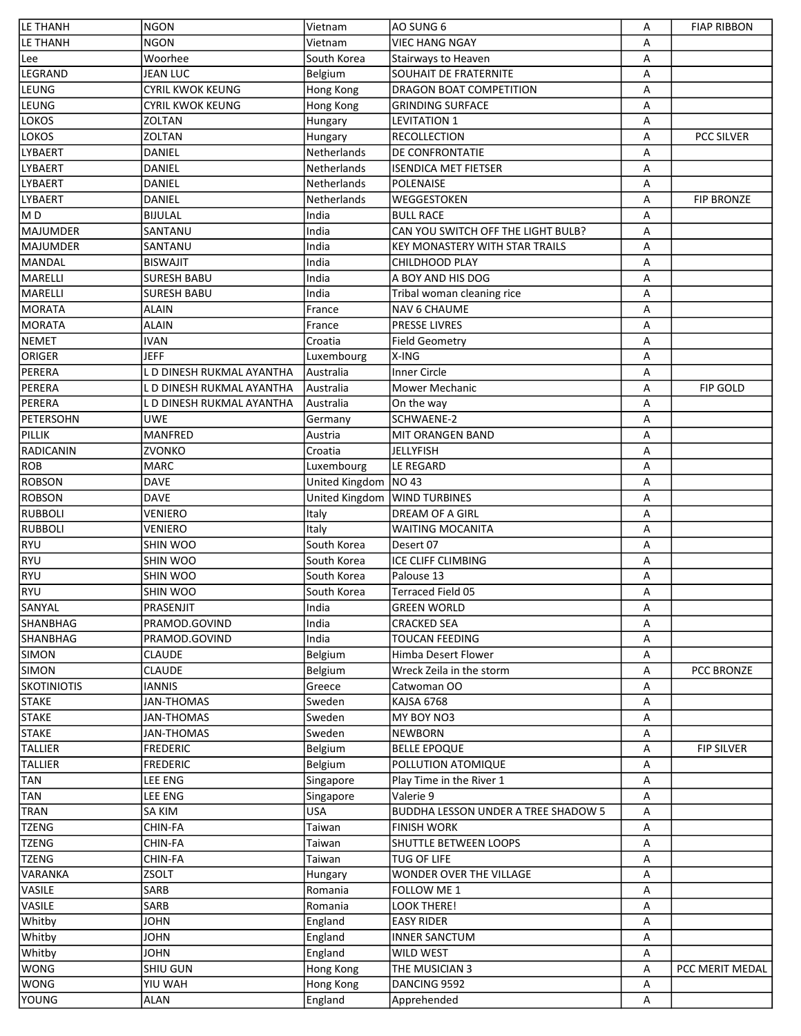| LE THANH           | <b>NGON</b>               | Vietnam          | AO SUNG 6                                  | Α | <b>FIAP RIBBON</b> |
|--------------------|---------------------------|------------------|--------------------------------------------|---|--------------------|
| <b>LE THANH</b>    | <b>NGON</b>               | Vietnam          | <b>VIEC HANG NGAY</b>                      | A |                    |
| Lee                | Woorhee                   | South Korea      | Stairways to Heaven                        | A |                    |
| LEGRAND            | <b>JEAN LUC</b>           | Belgium          | <b>SOUHAIT DE FRATERNITE</b>               | A |                    |
| LEUNG              | <b>CYRIL KWOK KEUNG</b>   | Hong Kong        | DRAGON BOAT COMPETITION                    | Α |                    |
| LEUNG              | <b>CYRIL KWOK KEUNG</b>   | Hong Kong        | <b>GRINDING SURFACE</b>                    | Α |                    |
| <b>LOKOS</b>       | <b>ZOLTAN</b>             | Hungary          | <b>LEVITATION 1</b>                        | Α |                    |
| <b>LOKOS</b>       | <b>ZOLTAN</b>             | Hungary          | <b>RECOLLECTION</b>                        | Α | <b>PCC SILVER</b>  |
| LYBAERT            | DANIEL                    | Netherlands      | DE CONFRONTATIE                            | A |                    |
| LYBAERT            | <b>DANIEL</b>             | Netherlands      | <b>ISENDICA MET FIETSER</b>                | A |                    |
| <b>LYBAERT</b>     | <b>DANIEL</b>             | Netherlands      | <b>POLENAISE</b>                           | A |                    |
| <b>LYBAERT</b>     | <b>DANIEL</b>             | Netherlands      | WEGGESTOKEN                                | Α | <b>FIP BRONZE</b>  |
| MD                 | <b>BIJULAL</b>            | India            | <b>BULL RACE</b>                           | Α |                    |
| <b>MAJUMDER</b>    | SANTANU                   | India            | CAN YOU SWITCH OFF THE LIGHT BULB?         | Α |                    |
| <b>MAJUMDER</b>    | SANTANU                   | India            | KEY MONASTERY WITH STAR TRAILS             | Α |                    |
| <b>MANDAL</b>      | <b>BISWAJIT</b>           | India            | CHILDHOOD PLAY                             | A |                    |
|                    |                           | India            |                                            |   |                    |
| <b>MARELLI</b>     | <b>SURESH BABU</b>        |                  | A BOY AND HIS DOG                          | A |                    |
| <b>MARELLI</b>     | <b>SURESH BABU</b>        | India            | Tribal woman cleaning rice                 | A |                    |
| <b>MORATA</b>      | <b>ALAIN</b>              | France           | <b>NAV 6 CHAUME</b>                        | A |                    |
| <b>MORATA</b>      | <b>ALAIN</b>              | France           | PRESSE LIVRES                              | A |                    |
| <b>NEMET</b>       | <b>IVAN</b>               | Croatia          | <b>Field Geometry</b>                      | Α |                    |
| ORIGER             | <b>JEFF</b>               | Luxembourg       | X-ING                                      | Α |                    |
| PERERA             | L D DINESH RUKMAL AYANTHA | Australia        | <b>Inner Circle</b>                        | Α |                    |
| PERERA             | L D DINESH RUKMAL AYANTHA | Australia        | Mower Mechanic                             | Α | <b>FIP GOLD</b>    |
| PERERA             | L D DINESH RUKMAL AYANTHA | Australia        | On the way                                 | A |                    |
| <b>PETERSOHN</b>   | <b>UWE</b>                | Germany          | SCHWAENE-2                                 | A |                    |
| PILLIK             | <b>MANFRED</b>            | Austria          | <b>MIT ORANGEN BAND</b>                    | A |                    |
| <b>RADICANIN</b>   | ZVONKO                    | Croatia          | <b>JELLYFISH</b>                           | A |                    |
| <b>ROB</b>         | <b>MARC</b>               | Luxembourg       | LE REGARD                                  | Α |                    |
| <b>ROBSON</b>      | <b>DAVE</b>               | United Kingdom   | <b>NO 43</b>                               | Α |                    |
| <b>ROBSON</b>      | <b>DAVE</b>               | United Kingdom   | <b>WIND TURBINES</b>                       | Α |                    |
| <b>RUBBOLI</b>     | <b>VENIERO</b>            | Italy            | <b>DREAM OF A GIRL</b>                     | Α |                    |
| <b>RUBBOLI</b>     | <b>VENIERO</b>            | Italy            | <b>WAITING MOCANITA</b>                    | A |                    |
| <b>RYU</b>         | SHIN WOO                  | South Korea      | Desert 07                                  | A |                    |
| <b>RYU</b>         | SHIN WOO                  | South Korea      | ICE CLIFF CLIMBING                         | A |                    |
| <b>RYU</b>         | SHIN WOO                  | South Korea      | Palouse 13                                 | A |                    |
| <b>RYU</b>         | SHIN WOO                  | South Korea      | <b>Terraced Field 05</b>                   | Α |                    |
| SANYAL             | PRASENJIT                 | India            | <b>GREEN WORLD</b>                         | Α |                    |
| SHANBHAG           | PRAMOD.GOVIND             | India            | CRACKED SEA                                | A |                    |
| <b>SHANBHAG</b>    | PRAMOD.GOVIND             | India            | <b>TOUCAN FEEDING</b>                      | Α |                    |
| <b>SIMON</b>       | <b>CLAUDE</b>             | Belgium          | Himba Desert Flower                        | Α |                    |
| <b>SIMON</b>       | <b>CLAUDE</b>             |                  | Wreck Zeila in the storm                   |   | <b>PCC BRONZE</b>  |
|                    |                           | Belgium          |                                            | Α |                    |
| <b>SKOTINIOTIS</b> | <b>IANNIS</b>             | Greece           | Catwoman OO                                | A |                    |
| <b>STAKE</b>       | <b>JAN-THOMAS</b>         | Sweden           | KAJSA 6768                                 | Α |                    |
| <b>STAKE</b>       | <b>JAN-THOMAS</b>         | Sweden           | MY BOY NO3                                 | Α |                    |
| <b>STAKE</b>       | <b>JAN-THOMAS</b>         | Sweden           | <b>NEWBORN</b>                             | Α |                    |
| <b>TALLIER</b>     | <b>FREDERIC</b>           | Belgium          | <b>BELLE EPOQUE</b>                        | Α | <b>FIP SILVER</b>  |
| <b>TALLIER</b>     | <b>FREDERIC</b>           | Belgium          | POLLUTION ATOMIQUE                         | Α |                    |
| <b>TAN</b>         | <b>LEE ENG</b>            | Singapore        | Play Time in the River 1                   | Α |                    |
| TAN                | <b>LEE ENG</b>            | Singapore        | Valerie 9                                  | Α |                    |
| <b>TRAN</b>        | SA KIM                    | <b>USA</b>       | <b>BUDDHA LESSON UNDER A TREE SHADOW 5</b> | A |                    |
| <b>TZENG</b>       | CHIN-FA                   | Taiwan           | <b>FINISH WORK</b>                         | A |                    |
| <b>TZENG</b>       | CHIN-FA                   | Taiwan           | SHUTTLE BETWEEN LOOPS                      | Α |                    |
| <b>TZENG</b>       | CHIN-FA                   | Taiwan           | TUG OF LIFE                                | Α |                    |
| VARANKA            | ZSOLT                     | Hungary          | WONDER OVER THE VILLAGE                    | Α |                    |
| VASILE             | SARB                      | Romania          | FOLLOW ME 1                                | Α |                    |
| VASILE             | SARB                      | Romania          | LOOK THERE!                                | Α |                    |
| Whitby             | <b>JOHN</b>               | England          | <b>EASY RIDER</b>                          | Α |                    |
| Whitby             | <b>JOHN</b>               | England          | <b>INNER SANCTUM</b>                       | Α |                    |
| Whitby             | <b>JOHN</b>               | England          | <b>WILD WEST</b>                           | Α |                    |
| <b>WONG</b>        | SHIU GUN                  | <b>Hong Kong</b> | THE MUSICIAN 3                             | Α | PCC MERIT MEDAL    |
| <b>WONG</b>        | YIU WAH                   | <b>Hong Kong</b> | DANCING 9592                               | Α |                    |
| <b>YOUNG</b>       | <b>ALAN</b>               | England          | Apprehended                                | Α |                    |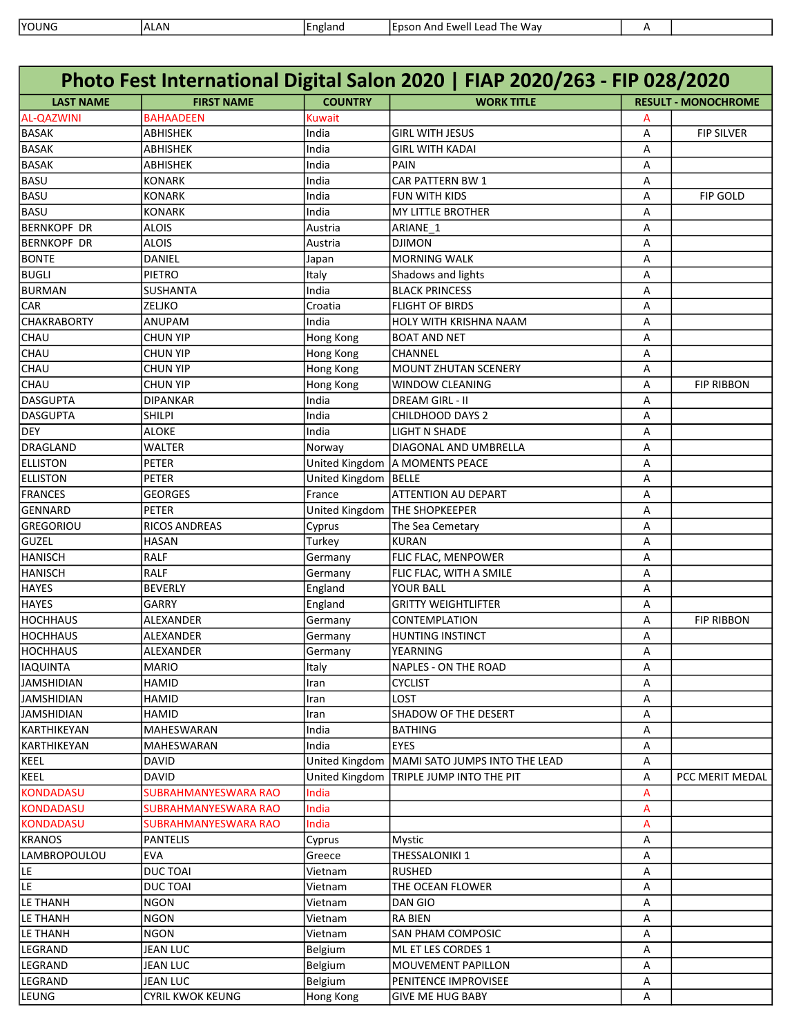| <b>YOUNG</b> | .AN<br>$\mathbf{A}$<br>· □ □ | England | Ewell L<br>Way<br>The<br><b>ILDSOP</b><br>Lead<br>And |  |
|--------------|------------------------------|---------|-------------------------------------------------------|--|

| Photo Fest International Digital Salon 2020   FIAP 2020/263 - FIP 028/2020 |                         |                |                               |   |                            |  |
|----------------------------------------------------------------------------|-------------------------|----------------|-------------------------------|---|----------------------------|--|
| <b>LAST NAME</b>                                                           | <b>FIRST NAME</b>       | <b>COUNTRY</b> | <b>WORK TITLE</b>             |   | <b>RESULT - MONOCHROME</b> |  |
| <b>AL-QAZWINI</b>                                                          | <b>BAHAADEEN</b>        | Kuwait         |                               | А |                            |  |
| <b>BASAK</b>                                                               | <b>ABHISHEK</b>         | India          | <b>GIRL WITH JESUS</b>        | Α | <b>FIP SILVER</b>          |  |
| <b>BASAK</b>                                                               | ABHISHEK                | India          | <b>GIRL WITH KADAI</b>        | А |                            |  |
| <b>BASAK</b>                                                               | ABHISHEK                | India          | PAIN                          | А |                            |  |
| <b>BASU</b>                                                                | <b>KONARK</b>           | India          | <b>CAR PATTERN BW 1</b>       | А |                            |  |
| <b>BASU</b>                                                                | <b>KONARK</b>           | India          | FUN WITH KIDS                 | А | <b>FIP GOLD</b>            |  |
| <b>BASU</b>                                                                | <b>KONARK</b>           | India          | <b>MY LITTLE BROTHER</b>      | А |                            |  |
| <b>BERNKOPF DR</b>                                                         | <b>ALOIS</b>            | Austria        | ARIANE_1                      | А |                            |  |
| <b>BERNKOPF DR</b>                                                         | <b>ALOIS</b>            | Austria        | <b>DJIMON</b>                 | А |                            |  |
| <b>BONTE</b>                                                               | DANIEL                  | Japan          | <b>MORNING WALK</b>           | А |                            |  |
| <b>BUGLI</b>                                                               | <b>PIETRO</b>           | Italy          | Shadows and lights            | А |                            |  |
| <b>BURMAN</b>                                                              | SUSHANTA                | India          | <b>BLACK PRINCESS</b>         | А |                            |  |
| <b>CAR</b>                                                                 | ZELJKO                  | Croatia        | <b>FLIGHT OF BIRDS</b>        | А |                            |  |
| <b>CHAKRABORTY</b>                                                         | ANUPAM                  | India          | HOLY WITH KRISHNA NAAM        | А |                            |  |
| CHAU                                                                       | <b>CHUN YIP</b>         | Hong Kong      | <b>BOAT AND NET</b>           | А |                            |  |
| CHAU                                                                       | <b>CHUN YIP</b>         | Hong Kong      | CHANNEL                       | А |                            |  |
| CHAU                                                                       | <b>CHUN YIP</b>         | Hong Kong      | MOUNT ZHUTAN SCENERY          | А |                            |  |
| CHAU                                                                       | <b>CHUN YIP</b>         | Hong Kong      | <b>WINDOW CLEANING</b>        | А | <b>FIP RIBBON</b>          |  |
| <b>DASGUPTA</b>                                                            | <b>DIPANKAR</b>         | India          | DREAM GIRL - II               | А |                            |  |
| <b>DASGUPTA</b>                                                            | <b>SHILPI</b>           | India          | CHILDHOOD DAYS 2              | А |                            |  |
| <b>DEY</b>                                                                 | <b>ALOKE</b>            | India          | <b>LIGHT N SHADE</b>          | А |                            |  |
| <b>DRAGLAND</b>                                                            | WALTER                  | Norway         | DIAGONAL AND UMBRELLA         | А |                            |  |
| <b>ELLISTON</b>                                                            | <b>PETER</b>            | United Kingdom | A MOMENTS PEACE               | А |                            |  |
| <b>ELLISTON</b>                                                            | <b>PETER</b>            | United Kingdom | BELLE                         | А |                            |  |
| <b>FRANCES</b>                                                             | <b>GEORGES</b>          | France         | <b>ATTENTION AU DEPART</b>    | А |                            |  |
| GENNARD                                                                    | PETER                   | United Kingdom | <b>THE SHOPKEEPER</b>         | А |                            |  |
| <b>GREGORIOU</b>                                                           | <b>RICOS ANDREAS</b>    | Cyprus         | The Sea Cemetary              | А |                            |  |
| <b>GUZEL</b>                                                               | <b>HASAN</b>            | Turkey         | <b>KURAN</b>                  | А |                            |  |
| <b>HANISCH</b>                                                             | <b>RALF</b>             | Germany        | FLIC FLAC, MENPOWER           | А |                            |  |
| <b>HANISCH</b>                                                             | <b>RALF</b>             | Germany        | FLIC FLAC, WITH A SMILE       | А |                            |  |
| <b>HAYES</b>                                                               | <b>BEVERLY</b>          | England        | YOUR BALL                     | А |                            |  |
| <b>HAYES</b>                                                               | GARRY                   | England        | <b>GRITTY WEIGHTLIFTER</b>    | А |                            |  |
| <b>HOCHHAUS</b>                                                            | ALEXANDER               | Germany        | CONTEMPLATION                 | А | <b>FIP RIBBON</b>          |  |
| <b>HOCHHAUS</b>                                                            | ALEXANDER               | Germany        | HUNTING INSTINCT              | А |                            |  |
| <b>HOCHHAUS</b>                                                            | ALEXANDER               | Germany        | <b>YEARNING</b>               | А |                            |  |
| <b>IAQUINTA</b>                                                            | <b>MARIO</b>            | Italy          | <b>NAPLES - ON THE ROAD</b>   | А |                            |  |
| <b>JAMSHIDIAN</b>                                                          | HAMID                   | Iran           | <b>CYCLIST</b>                | Α |                            |  |
| <b>JAMSHIDIAN</b>                                                          | HAMID                   | Iran           | LOST                          | Α |                            |  |
| <b>JAMSHIDIAN</b>                                                          | HAMID                   | Iran           | SHADOW OF THE DESERT          | Α |                            |  |
| KARTHIKEYAN                                                                | MAHESWARAN              | India          | <b>BATHING</b>                | Α |                            |  |
| KARTHIKEYAN                                                                | MAHESWARAN              | India          | <b>EYES</b>                   | Α |                            |  |
| KEEL                                                                       | <b>DAVID</b>            | United Kingdom | MAMI SATO JUMPS INTO THE LEAD | Α |                            |  |
| KEEL                                                                       | <b>DAVID</b>            | United Kingdom | TRIPLE JUMP INTO THE PIT      | Α | PCC MERIT MEDAL            |  |
| <b>KONDADASU</b>                                                           | SUBRAHMANYESWARA RAO    | India          |                               | А |                            |  |
| <b>KONDADASU</b>                                                           | SUBRAHMANYESWARA RAO    | India          |                               | А |                            |  |
| <b>KONDADASU</b>                                                           | SUBRAHMANYESWARA RAO    | India          |                               | А |                            |  |
| <b>KRANOS</b>                                                              | <b>PANTELIS</b>         | Cyprus         | <b>Mystic</b>                 | Α |                            |  |
| LAMBROPOULOU                                                               | <b>EVA</b>              | Greece         | THESSALONIKI 1                | Α |                            |  |
| LE                                                                         | <b>DUCTOAI</b>          | Vietnam        | <b>RUSHED</b>                 | Α |                            |  |
| LE                                                                         | <b>DUCTOAI</b>          | Vietnam        | THE OCEAN FLOWER              | Α |                            |  |
| <b>LE THANH</b>                                                            | <b>NGON</b>             | Vietnam        | DAN GIO                       | Α |                            |  |
| LE THANH                                                                   | <b>NGON</b>             | Vietnam        | <b>RA BIEN</b>                | Α |                            |  |
| LE THANH                                                                   | <b>NGON</b>             | Vietnam        | SAN PHAM COMPOSIC             | Α |                            |  |
| LEGRAND                                                                    | <b>JEAN LUC</b>         | Belgium        | ML ET LES CORDES 1            | Α |                            |  |
| LEGRAND                                                                    | <b>JEAN LUC</b>         | Belgium        | MOUVEMENT PAPILLON            | Α |                            |  |
| LEGRAND                                                                    | <b>JEAN LUC</b>         | Belgium        | PENITENCE IMPROVISEE          | Α |                            |  |
| LEUNG                                                                      | <b>CYRIL KWOK KEUNG</b> | Hong Kong      | <b>GIVE ME HUG BABY</b>       | Α |                            |  |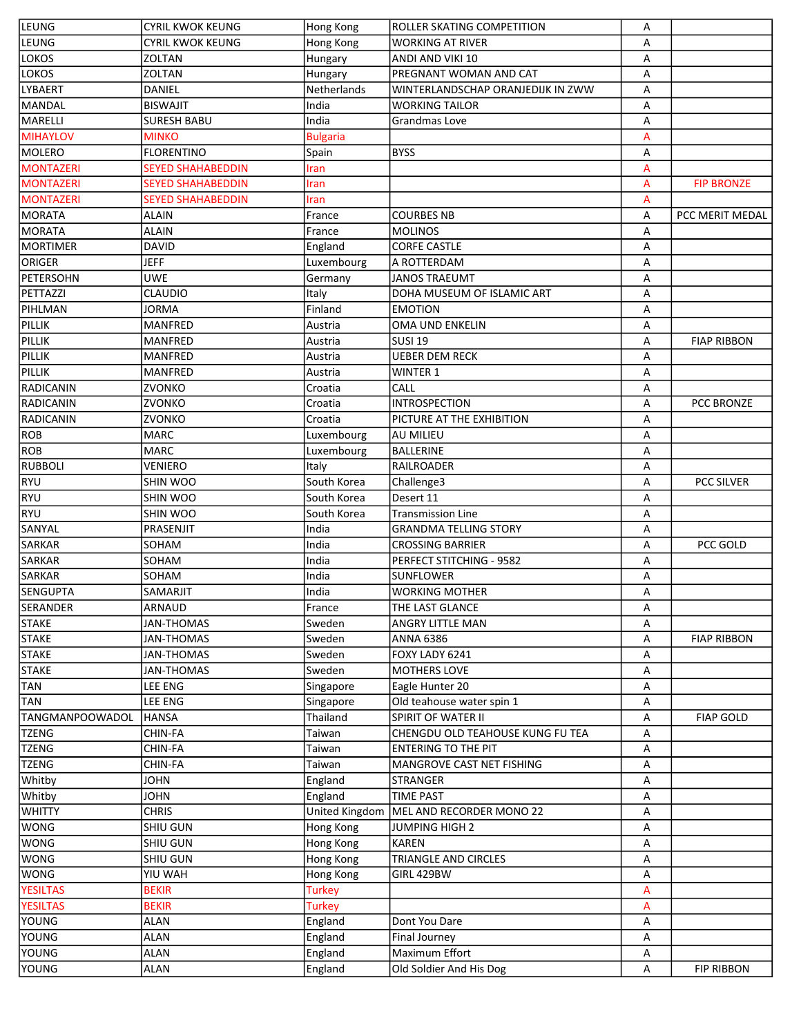| LEUNG                           | <b>CYRIL KWOK KEUNG</b>  | Hong Kong             | ROLLER SKATING COMPETITION        | А      |                    |
|---------------------------------|--------------------------|-----------------------|-----------------------------------|--------|--------------------|
| <b>LEUNG</b>                    | <b>CYRIL KWOK KEUNG</b>  | Hong Kong             | <b>WORKING AT RIVER</b>           | А      |                    |
| <b>LOKOS</b>                    | <b>ZOLTAN</b>            | Hungary               | ANDI AND VIKI 10                  | А      |                    |
| <b>LOKOS</b>                    | ZOLTAN                   | Hungary               | PREGNANT WOMAN AND CAT            | А      |                    |
| <b>LYBAERT</b>                  | DANIEL                   | Netherlands           | WINTERLANDSCHAP ORANJEDIJK IN ZWW | А      |                    |
| MANDAL                          | <b>BISWAJIT</b>          | India                 | <b>WORKING TAILOR</b>             | А      |                    |
| <b>MARELLI</b>                  | <b>SURESH BABU</b>       | India                 | Grandmas Love                     | А      |                    |
| <b>MIHAYLOV</b>                 | <b>MINKO</b>             | <b>Bulgaria</b>       |                                   | А      |                    |
| <b>MOLERO</b>                   | <b>FLORENTINO</b>        | Spain                 | <b>BYSS</b>                       | А      |                    |
| <b>MONTAZERI</b>                | <b>SEYED SHAHABEDDIN</b> | Iran                  |                                   | А      |                    |
| <b>MONTAZERI</b>                | <b>SEYED SHAHABEDDIN</b> | Iran                  |                                   | А      | <b>FIP BRONZE</b>  |
| <b>MONTAZERI</b>                | SEYED SHAHABEDDIN        | Iran                  |                                   | A      |                    |
| <b>MORATA</b>                   | ALAIN                    | France                | <b>COURBES NB</b>                 | А      | PCC MERIT MEDAL    |
| <b>MORATA</b>                   | <b>ALAIN</b>             | France                | <b>MOLINOS</b>                    | А      |                    |
| <b>MORTIMER</b>                 | <b>DAVID</b>             | England               | <b>CORFE CASTLE</b>               | А      |                    |
| ORIGER                          | <b>JEFF</b>              | Luxembourg            | A ROTTERDAM                       | А      |                    |
| <b>PETERSOHN</b>                | <b>UWE</b>               | Germany               | JANOS TRAEUMT                     | А      |                    |
| PETTAZZI                        | <b>CLAUDIO</b>           | Italy                 | DOHA MUSEUM OF ISLAMIC ART        | А      |                    |
| PIHLMAN                         | JORMA                    | Finland               | <b>EMOTION</b>                    | А      |                    |
| PILLIK                          | <b>MANFRED</b>           | Austria               | OMA UND ENKELIN                   | А      |                    |
| PILLIK                          | <b>MANFRED</b>           | Austria               | <b>SUSI 19</b>                    | А      | <b>FIAP RIBBON</b> |
| PILLIK                          | <b>MANFRED</b>           | Austria               | <b>UEBER DEM RECK</b>             | А      |                    |
| PILLIK                          | <b>MANFRED</b>           | Austria               | <b>WINTER 1</b>                   | А      |                    |
| <b>RADICANIN</b>                | <b>ZVONKO</b>            | Croatia               | CALL                              | А      |                    |
| RADICANIN                       | <b>ZVONKO</b>            | Croatia               | <b>INTROSPECTION</b>              | А      | PCC BRONZE         |
| RADICANIN                       | ZVONKO                   | Croatia               | PICTURE AT THE EXHIBITION         | А      |                    |
| <b>ROB</b>                      | <b>MARC</b>              | Luxembourg            | <b>AU MILIEU</b>                  | А      |                    |
| <b>ROB</b>                      | <b>MARC</b>              | Luxembourg            | <b>BALLERINE</b>                  | А      |                    |
| <b>RUBBOLI</b>                  | <b>VENIERO</b>           | Italy                 | <b>RAILROADER</b>                 | А      |                    |
| <b>RYU</b>                      | SHIN WOO                 | South Korea           | Challenge3                        | А      | PCC SILVER         |
| <b>RYU</b>                      | SHIN WOO                 | South Korea           | Desert 11                         | А      |                    |
| RYU                             | SHIN WOO                 | South Korea           | <b>Transmission Line</b>          | А      |                    |
| SANYAL                          | PRASENJIT                | India                 | <b>GRANDMA TELLING STORY</b>      | А      |                    |
| SARKAR                          | SOHAM                    | India                 | <b>CROSSING BARRIER</b>           | А      | PCC GOLD           |
| SARKAR                          | SOHAM                    | India                 | PERFECT STITCHING - 9582          | А      |                    |
| <b>SARKAR</b>                   | SOHAM                    | India                 | SUNFLOWER                         | А      |                    |
| <b>SENGUPTA</b>                 | SAMARJIT                 | India                 | <b>WORKING MOTHER</b>             | А      |                    |
| <b>SERANDER</b>                 | ARNAUD                   | France                | THE LAST GLANCE                   |        |                    |
| STAKE                           | JAN-THOMAS               | Sweden                | ANGRY LITTLE MAN                  | А<br>А |                    |
| <b>STAKE</b>                    | <b>JAN-THOMAS</b>        | Sweden                | <b>ANNA 6386</b>                  | А      | <b>FIAP RIBBON</b> |
| <b>STAKE</b>                    | <b>JAN-THOMAS</b>        | Sweden                | FOXY LADY 6241                    |        |                    |
|                                 |                          | Sweden                |                                   | А      |                    |
| <b>STAKE</b>                    | JAN-THOMAS               |                       | MOTHERS LOVE                      | А      |                    |
| <b>TAN</b>                      | LEE ENG                  | Singapore             | Eagle Hunter 20                   | А      |                    |
| <b>TAN</b>                      | LEE ENG<br><b>HANSA</b>  | Singapore<br>Thailand | Old teahouse water spin 1         | А      |                    |
| TANGMANPOOWADOL<br><b>TZENG</b> | CHIN-FA                  |                       | SPIRIT OF WATER II                | А      | <b>FIAP GOLD</b>   |
|                                 |                          | Taiwan                | CHENGDU OLD TEAHOUSE KUNG FU TEA  | А      |                    |
| TZENG                           | CHIN-FA                  | Taiwan                | <b>ENTERING TO THE PIT</b>        | А      |                    |
| TZENG                           | CHIN-FA                  | Taiwan                | MANGROVE CAST NET FISHING         | А      |                    |
| Whitby                          | JOHN                     | England               | <b>STRANGER</b>                   | А      |                    |
| Whitby                          | <b>JOHN</b>              | England               | <b>TIME PAST</b>                  | А      |                    |
| <b>WHITTY</b>                   | <b>CHRIS</b>             | United Kingdom        | MEL AND RECORDER MONO 22          | А      |                    |
| <b>WONG</b>                     | SHIU GUN                 | Hong Kong             | <b>JUMPING HIGH 2</b>             | А      |                    |
| <b>WONG</b>                     | SHIU GUN                 | Hong Kong             | <b>KAREN</b>                      | А      |                    |
| <b>WONG</b>                     | SHIU GUN                 | Hong Kong             | TRIANGLE AND CIRCLES              | А      |                    |
| WONG                            | <b>YIU WAH</b>           | Hong Kong             | GIRL 429BW                        | А      |                    |
| <b>YESILTAS</b>                 | <b>BEKIR</b>             | <b>Turkey</b>         |                                   | A      |                    |
| <b>YESILTAS</b>                 | <b>BEKIR</b>             | <b>Turkey</b>         |                                   | А      |                    |
| YOUNG                           | ALAN                     | England               | Dont You Dare                     | А      |                    |
| YOUNG                           | ALAN                     | England               | Final Journey                     | А      |                    |
| <b>YOUNG</b>                    | ALAN                     | England               | Maximum Effort                    | А      |                    |
| <b>YOUNG</b>                    | ALAN                     | England               | Old Soldier And His Dog           | Α      | <b>FIP RIBBON</b>  |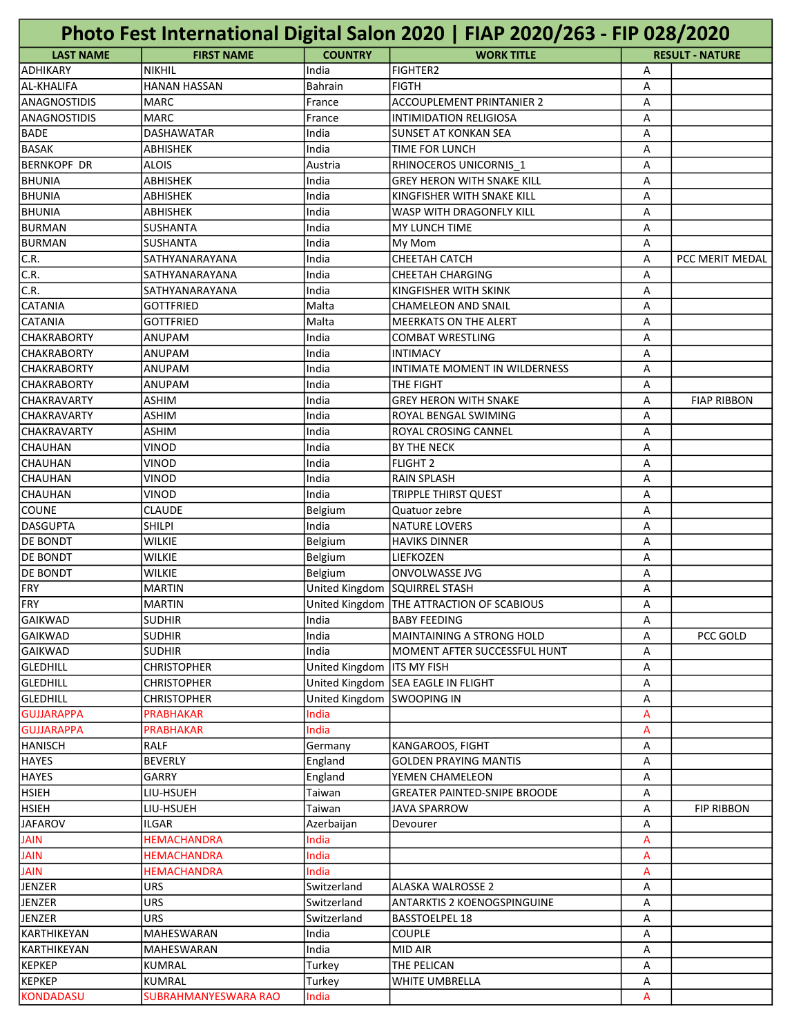|                     |                           |                | Photo Fest International Digital Salon 2020   FIAP 2020/263 - FIP 028/2020 |   |                        |
|---------------------|---------------------------|----------------|----------------------------------------------------------------------------|---|------------------------|
| <b>LAST NAME</b>    | <b>FIRST NAME</b>         | <b>COUNTRY</b> | <b>WORK TITLE</b>                                                          |   | <b>RESULT - NATURE</b> |
| ADHIKARY            | <b>NIKHIL</b>             | India          | <b>FIGHTER2</b>                                                            | Α |                        |
| AL-KHALIFA          | <b>HANAN HASSAN</b>       | <b>Bahrain</b> | <b>FIGTH</b>                                                               | Α |                        |
| <b>ANAGNOSTIDIS</b> | <b>MARC</b>               | France         | <b>ACCOUPLEMENT PRINTANIER 2</b>                                           | A |                        |
| ANAGNOSTIDIS        | <b>MARC</b>               | France         | <b>INTIMIDATION RELIGIOSA</b>                                              | A |                        |
| <b>BADE</b>         | <b>DASHAWATAR</b>         | India          | <b>SUNSET AT KONKAN SEA</b>                                                | A |                        |
| <b>BASAK</b>        | ABHISHEK                  | India          | TIME FOR LUNCH                                                             | A |                        |
| <b>BERNKOPF DR</b>  | ALOIS                     | Austria        | RHINOCEROS UNICORNIS 1                                                     | Α |                        |
| <b>BHUNIA</b>       | ABHISHEK                  | India          | <b>GREY HERON WITH SNAKE KILL</b>                                          | Α |                        |
| <b>BHUNIA</b>       | <b>ABHISHEK</b>           | India          | KINGFISHER WITH SNAKE KILL                                                 | A |                        |
| <b>BHUNIA</b>       | <b>ABHISHEK</b>           | India          | WASP WITH DRAGONFLY KILL                                                   | A |                        |
| <b>BURMAN</b>       | <b>SUSHANTA</b>           | India          | <b>MY LUNCH TIME</b>                                                       | A |                        |
| <b>BURMAN</b>       | <b>SUSHANTA</b>           | India          | My Mom                                                                     | A |                        |
| C.R.                | SATHYANARAYANA            | India          | CHEETAH CATCH                                                              | A | PCC MERIT MEDAL        |
| C.R.                | SATHYANARAYANA            | India          | <b>CHEETAH CHARGING</b>                                                    | Α |                        |
| C.R.                | SATHYANARAYANA            | India          | KINGFISHER WITH SKINK                                                      | Α |                        |
| <b>CATANIA</b>      | <b>GOTTFRIED</b>          | Malta          | <b>CHAMELEON AND SNAIL</b>                                                 | A |                        |
| <b>CATANIA</b>      | <b>GOTTFRIED</b>          | Malta          | <b>MEERKATS ON THE ALERT</b>                                               | A |                        |
| <b>ICHAKRABORTY</b> | ANUPAM                    | India          | <b>COMBAT WRESTLING</b>                                                    | A |                        |
| ICHAKRABORTY        | ANUPAM                    | India          | <b>INTIMACY</b>                                                            | A |                        |
| CHAKRABORTY         | ANUPAM                    | India          | INTIMATE MOMENT IN WILDERNESS                                              | Α |                        |
| <b>CHAKRABORTY</b>  | ANUPAM                    | India          | THE FIGHT                                                                  | Α |                        |
| CHAKRAVARTY         | <b>ASHIM</b>              | India          | <b>GREY HERON WITH SNAKE</b>                                               | Α | <b>FIAP RIBBON</b>     |
| <b>CHAKRAVARTY</b>  | <b>ASHIM</b>              | India          | ROYAL BENGAL SWIMING                                                       | Α |                        |
| CHAKRAVARTY         | <b>ASHIM</b>              | India          | ROYAL CROSING CANNEL                                                       | A |                        |
| ICHAUHAN            | <b>VINOD</b>              | India          | BY THE NECK                                                                | A |                        |
| <b>CHAUHAN</b>      | VINOD                     | India          | <b>FLIGHT 2</b>                                                            | A |                        |
| <b>CHAUHAN</b>      | VINOD                     | India          | <b>RAIN SPLASH</b>                                                         | А |                        |
| CHAUHAN             | VINOD                     | India          | <b>TRIPPLE THIRST QUEST</b>                                                | Α |                        |
| <b>COUNE</b>        | <b>CLAUDE</b>             | Belgium        | Quatuor zebre                                                              | Α |                        |
| DASGUPTA            | <b>SHILPI</b>             | India          | <b>NATURE LOVERS</b>                                                       | A |                        |
| <b>DE BONDT</b>     | <b>WILKIE</b>             | Belgium        | <b>HAVIKS DINNER</b>                                                       | A |                        |
| <b>DE BONDT</b>     | <b>WILKIE</b>             | Belgium        | <b>LIEFKOZEN</b>                                                           | A |                        |
| <b>DE BONDT</b>     | <b>WILKIE</b>             | Belgium        | <b>ONVOLWASSE JVG</b>                                                      | A |                        |
| FRY                 | <b>MARTIN</b>             |                | United Kingdom SQUIRREL STASH                                              | А |                        |
| FRY                 | <b>MARTIN</b>             |                | United Kingdom   THE ATTRACTION OF SCABIOUS                                | Α |                        |
| <b>GAIKWAD</b>      | <b>SUDHIR</b>             | India          | <b>BABY FEEDING</b>                                                        | A |                        |
| GAIKWAD             | <b>SUDHIR</b>             | India          | MAINTAINING A STRONG HOLD                                                  | А | PCC GOLD               |
| <b>GAIKWAD</b>      | <b>SUDHIR</b>             | India          | MOMENT AFTER SUCCESSFUL HUNT                                               | А |                        |
| GLEDHILL            | <b>CHRISTOPHER</b>        | United Kingdom | <b>ITS MY FISH</b>                                                         | А |                        |
| <b>GLEDHILL</b>     | <b>CHRISTOPHER</b>        | United Kingdom | SEA EAGLE IN FLIGHT                                                        | А |                        |
| <b>GLEDHILL</b>     | <b>CHRISTOPHER</b>        | United Kingdom | <b>SWOOPING IN</b>                                                         | А |                        |
| <b>GUJJARAPPA</b>   | PRABHAKAR                 | India          |                                                                            | A |                        |
| <b>GUJJARAPPA</b>   | <b>PRABHAKAR</b>          | India          |                                                                            | A |                        |
| HANISCH             | RALF                      | Germany        | KANGAROOS, FIGHT                                                           | А |                        |
| <b>HAYES</b>        | <b>BEVERLY</b>            | England        | <b>GOLDEN PRAYING MANTIS</b>                                               | А |                        |
| <b>HAYES</b>        | GARRY                     | England        | YEMEN CHAMELEON                                                            | А |                        |
| <b>HSIEH</b>        | LIU-HSUEH                 | Taiwan         | <b>GREATER PAINTED-SNIPE BROODE</b>                                        | А |                        |
| <b>HSIEH</b>        | LIU-HSUEH                 | Taiwan         | JAVA SPARROW                                                               | А | <b>FIP RIBBON</b>      |
| <b>JAFAROV</b>      | ILGAR                     | Azerbaijan     | Devourer                                                                   | А |                        |
| <b>JAIN</b>         | <b>HEMACHANDRA</b>        | India          |                                                                            | A |                        |
| <b>JAIN</b>         | HEMACHANDRA               | India          |                                                                            | A |                        |
| <b>JAIN</b>         |                           | India          |                                                                            |   |                        |
| JENZER              | HEMACHANDRA<br><b>URS</b> |                | <b>ALASKA WALROSSE 2</b>                                                   | A |                        |
|                     |                           | Switzerland    |                                                                            | А |                        |
| JENZER              | URS                       | Switzerland    | <b>ANTARKTIS 2 KOENOGSPINGUINE</b>                                         | А |                        |
| JENZER              | URS                       | Switzerland    | <b>BASSTOELPEL 18</b>                                                      | А |                        |
| KARTHIKEYAN         | MAHESWARAN                | India          | <b>COUPLE</b>                                                              | А |                        |
| KARTHIKEYAN         | MAHESWARAN                | India          | MID AIR                                                                    | А |                        |
| KEPKEP              | KUMRAL                    | Turkey         | THE PELICAN                                                                | А |                        |
| <b>KEPKEP</b>       | KUMRAL                    | Turkey         | WHITE UMBRELLA                                                             | Α |                        |
| <b>KONDADASU</b>    | SUBRAHMANYESWARA RAO      | India          |                                                                            | A |                        |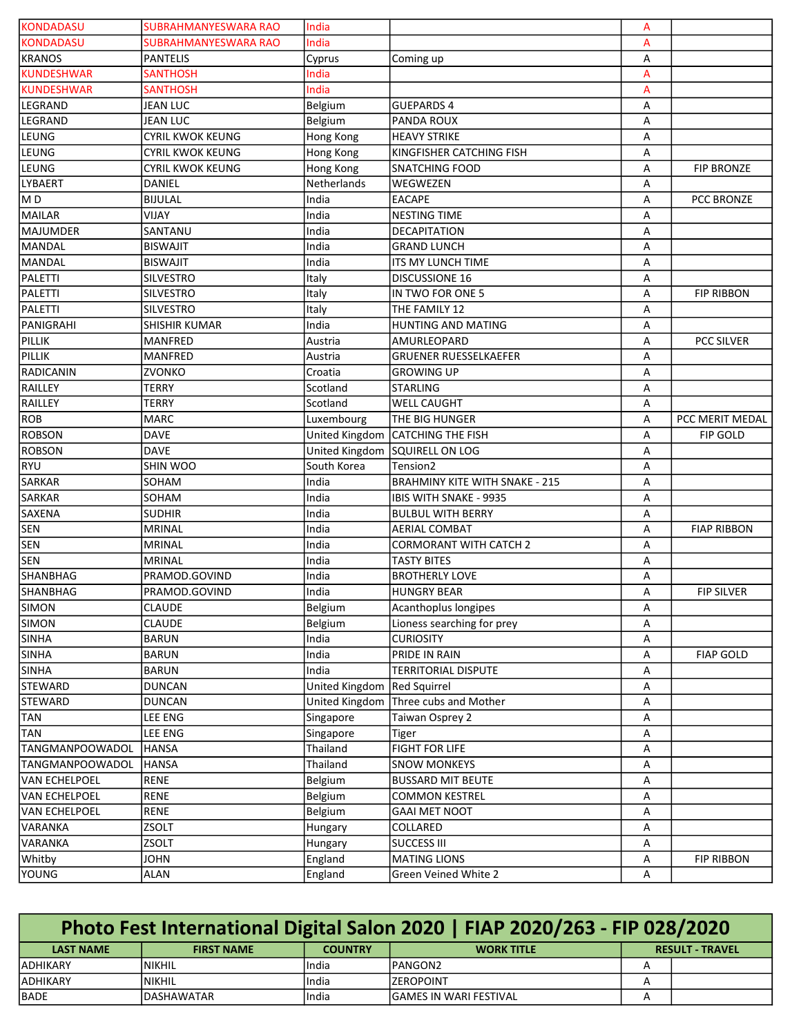| <b>KONDADASU</b>  | <b>SUBRAHMANYESWARA RAO</b> | India          |                                       | A |                    |
|-------------------|-----------------------------|----------------|---------------------------------------|---|--------------------|
| <b>KONDADASU</b>  | SUBRAHMANYESWARA RAO        | India          |                                       | А |                    |
| KRANOS            | <b>PANTELIS</b>             | Cyprus         | Coming up                             | Α |                    |
| <b>KUNDESHWAR</b> | <b>SANTHOSH</b>             | India          |                                       | A |                    |
| <b>KUNDESHWAR</b> | <b>SANTHOSH</b>             | India          |                                       | А |                    |
| LEGRAND           | <b>JEAN LUC</b>             | Belgium        | <b>GUEPARDS 4</b>                     | А |                    |
| LEGRAND           | <b>JEAN LUC</b>             | Belgium        | PANDA ROUX                            | А |                    |
| LEUNG             | <b>CYRIL KWOK KEUNG</b>     | Hong Kong      | <b>HEAVY STRIKE</b>                   | А |                    |
| LEUNG             | <b>CYRIL KWOK KEUNG</b>     | Hong Kong      | KINGFISHER CATCHING FISH              | Α |                    |
| LEUNG             | <b>CYRIL KWOK KEUNG</b>     | Hong Kong      | <b>SNATCHING FOOD</b>                 | Α | <b>FIP BRONZE</b>  |
| LYBAERT           | DANIEL                      | Netherlands    | WEGWEZEN                              | Α |                    |
| MD                | <b>BIJULAL</b>              | India          | <b>EACAPE</b>                         | Α | <b>PCC BRONZE</b>  |
| MAILAR            | VIJAY                       | India          | <b>NESTING TIME</b>                   | А |                    |
| MAJUMDER          | SANTANU                     | India          | DECAPITATION                          | А |                    |
| MANDAL            | <b>BISWAJIT</b>             | India          | <b>GRAND LUNCH</b>                    | А |                    |
| MANDAL            | <b>BISWAJIT</b>             | India          | ITS MY LUNCH TIME                     | Α |                    |
| PALETTI           | SILVESTRO                   | Italy          | <b>DISCUSSIONE 16</b>                 | Α |                    |
| PALETTI           | <b>SILVESTRO</b>            | Italy          | IN TWO FOR ONE 5                      | Α | <b>FIP RIBBON</b>  |
| PALETTI           | <b>SILVESTRO</b>            | Italy          | THE FAMILY 12                         | А |                    |
| <b>PANIGRAHI</b>  | SHISHIR KUMAR               | India          | HUNTING AND MATING                    | Α |                    |
| PILLIK            | MANFRED                     | Austria        | AMURLEOPARD                           | А | <b>PCC SILVER</b>  |
| PILLIK            | MANFRED                     | Austria        | <b>GRUENER RUESSELKAEFER</b>          | А |                    |
| RADICANIN         | ZVONKO                      | Croatia        | <b>GROWING UP</b>                     | Α |                    |
| RAILLEY           | <b>TERRY</b>                | Scotland       | <b>STARLING</b>                       | Α |                    |
| RAILLEY           | <b>TERRY</b>                | Scotland       | <b>WELL CAUGHT</b>                    | Α |                    |
| ROB               | <b>MARC</b>                 | Luxembourg     | THE BIG HUNGER                        | А | PCC MERIT MEDAL    |
| <b>ROBSON</b>     | <b>DAVE</b>                 | United Kingdom | <b>CATCHING THE FISH</b>              | А | FIP GOLD           |
| <b>ROBSON</b>     | <b>DAVE</b>                 | United Kingdom | SQUIRELL ON LOG                       | А |                    |
| RYU               | SHIN WOO                    | South Korea    | Tension2                              | Α |                    |
| SARKAR            | SOHAM                       | India          | <b>BRAHMINY KITE WITH SNAKE - 215</b> | Α |                    |
| SARKAR            | SOHAM                       | India          | <b>IBIS WITH SNAKE - 9935</b>         | Α |                    |
| <b>SAXENA</b>     | <b>SUDHIR</b>               | India          | <b>BULBUL WITH BERRY</b>              | Α |                    |
| <b>SEN</b>        | <b>MRINAL</b>               | India          | <b>AERIAL COMBAT</b>                  | А | <b>FIAP RIBBON</b> |
| <b>SEN</b>        | <b>MRINAL</b>               | India          | <b>CORMORANT WITH CATCH 2</b>         | А |                    |
| <b>SEN</b>        | <b>MRINAL</b>               | India          | <b>TASTY BITES</b>                    | А |                    |
| SHANBHAG          | PRAMOD.GOVIND               | India          | <b>BROTHERLY LOVE</b>                 | Α |                    |
| SHANBHAG          | PRAMOD.GOVIND               | India          | <b>HUNGRY BEAR</b>                    | Α | <b>FIP SILVER</b>  |
| <b>SIMON</b>      | CLAUDE                      | Belgium        | Acanthoplus longipes                  | A |                    |
| SIMON             | <b>CLAUDE</b>               | Belgium        | Lioness searching for prey            | Α |                    |
| <b>SINHA</b>      | <b>BARUN</b>                | India          | <b>CURIOSITY</b>                      | Α |                    |
| <b>SINHA</b>      | <b>BARUN</b>                | India          | PRIDE IN RAIN                         | Α | <b>FIAP GOLD</b>   |
| <b>SINHA</b>      | <b>BARUN</b>                | India          | <b>TERRITORIAL DISPUTE</b>            | Α |                    |
| <b>STEWARD</b>    | <b>DUNCAN</b>               | United Kingdom | <b>Red Squirrel</b>                   | Α |                    |
| <b>STEWARD</b>    | <b>DUNCAN</b>               | United Kingdom | Three cubs and Mother                 | Α |                    |
| <b>TAN</b>        | LEE ENG                     | Singapore      | Taiwan Osprey 2                       | Α |                    |
| <b>TAN</b>        | LEE ENG                     | Singapore      | Tiger                                 | Α |                    |
| TANGMANPOOWADOL   | <b>HANSA</b>                | Thailand       | <b>FIGHT FOR LIFE</b>                 | Α |                    |
| TANGMANPOOWADOL   | <b>HANSA</b>                | Thailand       | <b>SNOW MONKEYS</b>                   | Α |                    |
| VAN ECHELPOEL     | <b>RENE</b>                 | Belgium        | <b>BUSSARD MIT BEUTE</b>              | Α |                    |
| VAN ECHELPOEL     | <b>RENE</b>                 | Belgium        | <b>COMMON KESTREL</b>                 | Α |                    |
| VAN ECHELPOEL     | <b>RENE</b>                 | Belgium        | <b>GAAI MET NOOT</b>                  | Α |                    |
| VARANKA           | ZSOLT                       | Hungary        | COLLARED                              | Α |                    |
| VARANKA           | ZSOLT                       | Hungary        | <b>SUCCESS III</b>                    | Α |                    |
| Whitby            | <b>JOHN</b>                 | England        | <b>MATING LIONS</b>                   | Α | <b>FIP RIBBON</b>  |
| YOUNG             | <b>ALAN</b>                 | England        | Green Veined White 2                  | Α |                    |

| Photo Fest International Digital Salon 2020   FIAP 2020/263 - FIP 028/2020 |                   |                |                               |                        |  |  |  |  |
|----------------------------------------------------------------------------|-------------------|----------------|-------------------------------|------------------------|--|--|--|--|
| <b>LAST NAME</b>                                                           | <b>FIRST NAME</b> | <b>COUNTRY</b> | <b>WORK TITLE</b>             | <b>RESULT - TRAVEL</b> |  |  |  |  |
| IADHIKARY                                                                  | INIKHIL           | lIndia         | IPANGON2                      |                        |  |  |  |  |
| IADHIKARY                                                                  | INIKHIL           | lIndia         | <b>IZEROPOINT</b>             |                        |  |  |  |  |
| IBADE                                                                      | IDASHAWATAR       | lIndia         | <b>GAMES IN WARI FESTIVAL</b> |                        |  |  |  |  |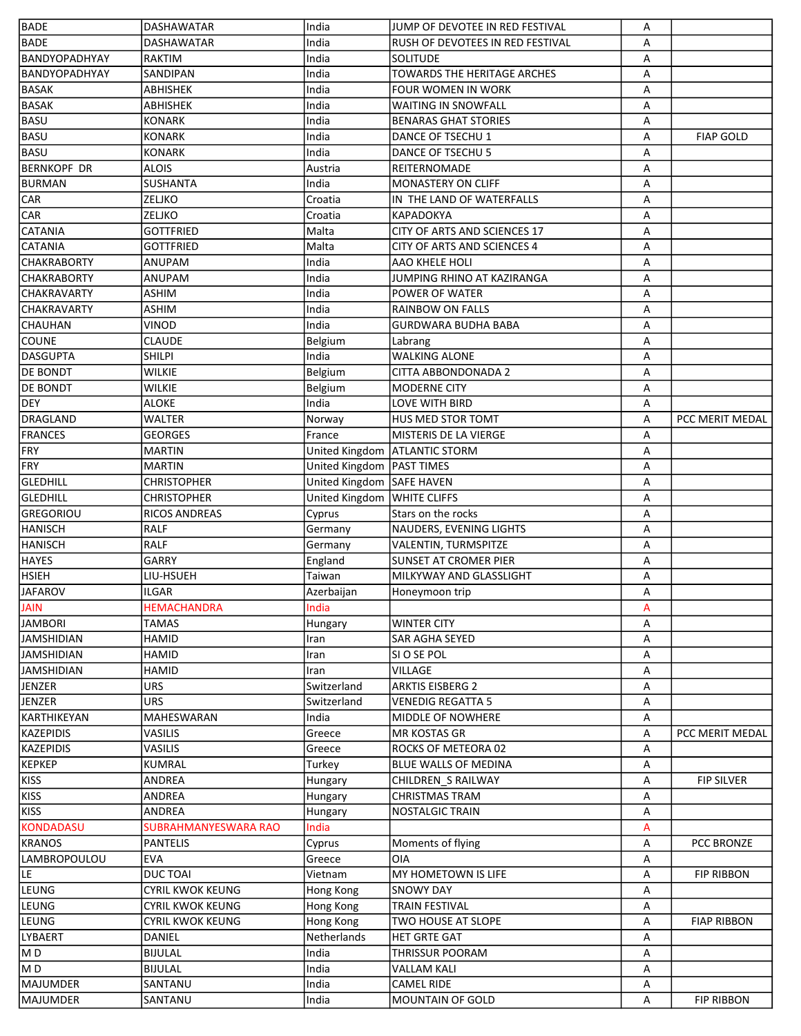| <b>BADE</b>        | <b>DASHAWATAR</b>       | India          | JUMP OF DEVOTEE IN RED FESTIVAL  | А |                    |
|--------------------|-------------------------|----------------|----------------------------------|---|--------------------|
| <b>BADE</b>        | <b>DASHAWATAR</b>       | India          | RUSH OF DEVOTEES IN RED FESTIVAL | A |                    |
| BANDYOPADHYAY      | <b>RAKTIM</b>           | India          | <b>SOLITUDE</b>                  | A |                    |
| BANDYOPADHYAY      | SANDIPAN                | India          | TOWARDS THE HERITAGE ARCHES      | А |                    |
| <b>BASAK</b>       | ABHISHEK                | India          | <b>FOUR WOMEN IN WORK</b>        | А |                    |
| <b>BASAK</b>       | ABHISHEK                | India          | <b>WAITING IN SNOWFALL</b>       | А |                    |
| <b>BASU</b>        | <b>KONARK</b>           | India          | <b>BENARAS GHAT STORIES</b>      | А |                    |
| <b>BASU</b>        | <b>KONARK</b>           | India          | DANCE OF TSECHU 1                | А | <b>FIAP GOLD</b>   |
| <b>BASU</b>        | <b>KONARK</b>           | India          | DANCE OF TSECHU 5                | A |                    |
| <b>BERNKOPF DR</b> | <b>ALOIS</b>            | Austria        | <b>REITERNOMADE</b>              | А |                    |
| BURMAN             | <b>SUSHANTA</b>         | India          | <b>MONASTERY ON CLIFF</b>        | А |                    |
| <b>CAR</b>         | ZELJKO                  | Croatia        | IN THE LAND OF WATERFALLS        | А |                    |
| CAR                | ZELJKO                  | Croatia        | <b>KAPADOKYA</b>                 | А |                    |
| <b>CATANIA</b>     | <b>GOTTFRIED</b>        | Malta          | CITY OF ARTS AND SCIENCES 17     | А |                    |
| <b>CATANIA</b>     | <b>GOTTFRIED</b>        | Malta          | CITY OF ARTS AND SCIENCES 4      | А |                    |
| <b>CHAKRABORTY</b> | ANUPAM                  | India          | AAO KHELE HOLI                   | А |                    |
| <b>CHAKRABORTY</b> | ANUPAM                  | India          | JUMPING RHINO AT KAZIRANGA       | А |                    |
| <b>CHAKRAVARTY</b> | <b>ASHIM</b>            | India          | POWER OF WATER                   | A |                    |
| <b>CHAKRAVARTY</b> | <b>ASHIM</b>            | India          | <b>RAINBOW ON FALLS</b>          | A |                    |
| CHAUHAN            | VINOD                   | India          | <b>GURDWARA BUDHA BABA</b>       | А |                    |
| <b>COUNE</b>       | <b>CLAUDE</b>           | Belgium        | Labrang                          | А |                    |
| <b>DASGUPTA</b>    | <b>SHILPI</b>           | India          | <b>WALKING ALONE</b>             | А |                    |
| <b>DE BONDT</b>    | <b>WILKIE</b>           | Belgium        | CITTA ABBONDONADA 2              | А |                    |
|                    | <b>WILKIE</b>           |                |                                  |   |                    |
| DE BONDT           |                         | Belgium        | <b>MODERNE CITY</b>              | А |                    |
| <b>DEY</b>         | <b>ALOKE</b>            | India          | LOVE WITH BIRD                   | А |                    |
| <b>DRAGLAND</b>    | <b>WALTER</b>           | Norway         | <b>HUS MED STOR TOMT</b>         | A | PCC MERIT MEDAL    |
| <b>FRANCES</b>     | <b>GEORGES</b>          | France         | <b>MISTERIS DE LA VIERGE</b>     | A |                    |
| FRY                | <b>MARTIN</b>           | United Kingdom | <b>ATLANTIC STORM</b>            | А |                    |
| FRY                | <b>MARTIN</b>           | United Kingdom | <b>PAST TIMES</b>                | А |                    |
| GLEDHILL           | <b>CHRISTOPHER</b>      | United Kingdom | <b>SAFE HAVEN</b>                | А |                    |
| GLEDHILL           | <b>CHRISTOPHER</b>      | United Kingdom | <b>WHITE CLIFFS</b>              | А |                    |
| GREGORIOU          | <b>RICOS ANDREAS</b>    | Cyprus         | Stars on the rocks               | А |                    |
| <b>HANISCH</b>     | RALF                    | Germany        | NAUDERS, EVENING LIGHTS          | А |                    |
| <b>HANISCH</b>     | <b>RALF</b>             | Germany        | VALENTIN, TURMSPITZE             | А |                    |
| <b>HAYES</b>       | <b>GARRY</b>            | England        | <b>SUNSET AT CROMER PIER</b>     | A |                    |
| <b>HSIEH</b>       | LIU-HSUEH               | Taiwan         | MILKYWAY AND GLASSLIGHT          | A |                    |
| <b>JAFAROV</b>     | <b>ILGAR</b>            | Azerbaijan     | Honeymoon trip                   | А |                    |
| <b>JAIN</b>        | <b>HEMACHANDRA</b>      | India          |                                  | A |                    |
| <b>JAMBORI</b>     | TAMAS                   | Hungary        | <b>WINTER CITY</b>               | A |                    |
| IJAMSHIDIAN        | <b>HAMID</b>            | Iran           | SAR AGHA SEYED                   | А |                    |
| JAMSHIDIAN         | <b>HAMID</b>            | Iran           | SI O SE POL                      | А |                    |
| <b>JAMSHIDIAN</b>  | <b>HAMID</b>            | Iran           | VILLAGE                          | А |                    |
| JENZER             | <b>URS</b>              | Switzerland    | <b>ARKTIS EISBERG 2</b>          | А |                    |
| JENZER             | <b>URS</b>              | Switzerland    | <b>VENEDIG REGATTA 5</b>         | А |                    |
| KARTHIKEYAN        | MAHESWARAN              | India          | <b>MIDDLE OF NOWHERE</b>         | А |                    |
| KAZEPIDIS          | VASILIS                 | Greece         | <b>MR KOSTAS GR</b>              | А | PCC MERIT MEDAL    |
| KAZEPIDIS          | VASILIS                 | Greece         | ROCKS OF METEORA 02              | А |                    |
| KEPKEP             | <b>KUMRAL</b>           | Turkey         | <b>BLUE WALLS OF MEDINA</b>      | А |                    |
| KISS               | ANDREA                  | Hungary        | CHILDREN S RAILWAY               | А | <b>FIP SILVER</b>  |
| KISS               | ANDREA                  | Hungary        | CHRISTMAS TRAM                   | А |                    |
| <b>KISS</b>        | ANDREA                  | Hungary        | <b>NOSTALGIC TRAIN</b>           | А |                    |
| <b>KONDADASU</b>   | SUBRAHMANYESWARA RAO    | India          |                                  | А |                    |
| KRANOS             | <b>PANTELIS</b>         | Cyprus         | Moments of flying                | А | <b>PCC BRONZE</b>  |
| LAMBROPOULOU       | <b>EVA</b>              | Greece         | <b>OIA</b>                       | А |                    |
| LE                 | <b>DUCTOAI</b>          | Vietnam        | MY HOMETOWN IS LIFE              | А | <b>FIP RIBBON</b>  |
| LEUNG              | <b>CYRIL KWOK KEUNG</b> | Hong Kong      | <b>SNOWY DAY</b>                 | А |                    |
| LEUNG              | CYRIL KWOK KEUNG        | Hong Kong      | <b>TRAIN FESTIVAL</b>            | А |                    |
| LEUNG              | CYRIL KWOK KEUNG        | Hong Kong      | TWO HOUSE AT SLOPE               | А | <b>FIAP RIBBON</b> |
| LYBAERT            | DANIEL                  | Netherlands    | <b>HET GRTE GAT</b>              | А |                    |
| MD                 | <b>BIJULAL</b>          | India          | THRISSUR POORAM                  | А |                    |
| M <sub>D</sub>     | <b>BIJULAL</b>          | India          | VALLAM KALI                      | A |                    |
| MAJUMDER           | SANTANU                 | India          | <b>CAMEL RIDE</b>                | А |                    |
| MAJUMDER           | SANTANU                 | India          | MOUNTAIN OF GOLD                 | А | <b>FIP RIBBON</b>  |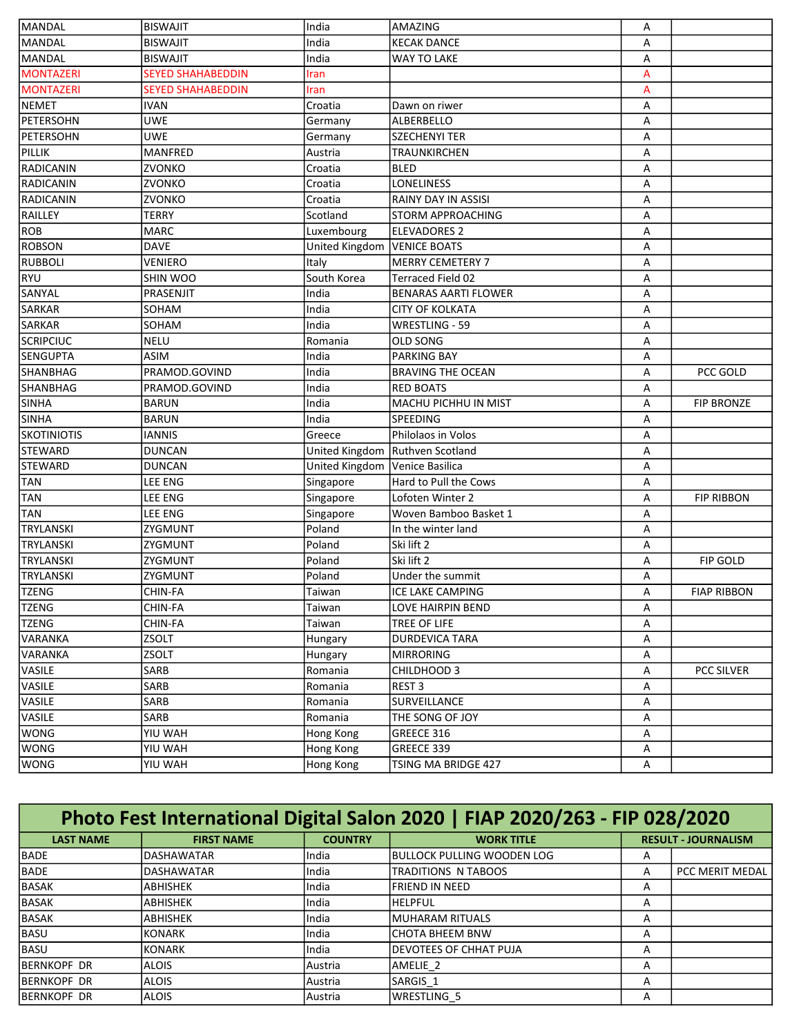| <b>BISWAJIT</b><br>India<br><b>KECAK DANCE</b><br>А<br><b>BISWAJIT</b><br>India<br>WAY TO LAKE<br>А<br><b>SEYED SHAHABEDDIN</b><br>A<br>Iran<br>A<br><b>SEYED SHAHABEDDIN</b><br>Iran<br><b>IVAN</b><br>Croatia<br>А<br>Dawn on riwer<br><b>UWE</b><br>ALBERBELLO<br>А<br>Germany<br><b>UWE</b><br><b>SZECHENYI TER</b><br>Germany<br>А<br>MANFRED<br>Austria<br>TRAUNKIRCHEN<br>А<br>ZVONKO<br>Croatia<br><b>BLED</b><br>А<br>ZVONKO<br>Croatia<br><b>LONELINESS</b><br>А<br>ZVONKO<br>Croatia<br>RAINY DAY IN ASSISI<br>А<br><b>TERRY</b><br>Scotland<br><b>STORM APPROACHING</b><br>А<br><b>MARC</b><br>Luxembourg<br><b>ELEVADORES 2</b><br>А<br><b>DAVE</b><br>United Kingdom<br><b>VENICE BOATS</b><br>А<br>VENIERO<br><b>MERRY CEMETERY 7</b><br>Italy<br>А<br>South Korea<br>SHIN WOO<br><b>Terraced Field 02</b><br>А<br>PRASENJIT<br>India<br>BENARAS AARTI FLOWER<br>А<br>SOHAM<br>India<br>А<br><b>CITY OF KOLKATA</b><br>SOHAM<br>India<br>WRESTLING - 59<br>А<br><b>NELU</b><br>Romania<br><b>OLD SONG</b><br>А<br><b>ASIM</b><br><b>PARKING BAY</b><br>India<br>А<br>PRAMOD.GOVIND<br>India<br><b>BRAVING THE OCEAN</b><br>PCC GOLD<br>А<br>India<br><b>RED BOATS</b><br>PRAMOD.GOVIND<br>А<br>India<br>MACHU PICHHU IN MIST<br>А<br><b>FIP BRONZE</b><br><b>BARUN</b><br><b>BARUN</b><br>India<br>SPEEDING<br>А<br><b>IANNIS</b><br>Philolaos in Volos<br>А<br>Greece<br><b>DUNCAN</b><br>United Kingdom<br>Ruthven Scotland<br>А<br><b>DUNCAN</b><br>United Kingdom<br>Venice Basilica<br>А<br>LEE ENG<br>Hard to Pull the Cows<br>Singapore<br>А<br>LEE ENG<br>Singapore<br>Lofoten Winter 2<br>А<br><b>FIP RIBBON</b><br>LEE ENG<br>Singapore<br>Woven Bamboo Basket 1<br>А<br>Poland<br>ZYGMUNT<br>In the winter land<br>А<br>Poland<br>ZYGMUNT<br>Ski lift 2<br>А<br>Poland<br>ZYGMUNT<br>Ski lift 2<br>А<br>FIP GOLD<br>Poland<br>Under the summit<br>ZYGMUNT<br>Α<br>CHIN-FA<br>Taiwan<br>ICE LAKE CAMPING<br>Α<br><b>FIAP RIBBON</b><br><b>TZENG</b><br>CHIN-FA<br>Taiwan<br>LOVE HAIRPIN BEND<br>A<br><b>TZENG</b><br>CHIN-FA<br>TREE OF LIFE<br>А<br>Taiwan<br><b>ZSOLT</b><br><b>DURDEVICA TARA</b><br>А<br>Hungary<br><b>ZSOLT</b><br><b>MIRRORING</b><br>А<br>Hungary<br><b>PCC SILVER</b><br>SARB<br>Romania<br>CHILDHOOD 3<br>А<br>SARB<br>REST <sub>3</sub><br>Romania<br>А<br>VASILE<br>SARB<br>Romania<br>SURVEILLANCE<br>А<br>VASILE<br>SARB<br>Romania<br>THE SONG OF JOY<br>А<br><b>WONG</b><br>YIU WAH<br>Hong Kong<br>GREECE 316<br>А<br><b>WONG</b><br>YIU WAH<br>Hong Kong<br>GREECE 339<br>А<br>TSING MA BRIDGE 427 | MANDAL             | <b>BISWAJIT</b> | India     | AMAZING | А |  |
|---------------------------------------------------------------------------------------------------------------------------------------------------------------------------------------------------------------------------------------------------------------------------------------------------------------------------------------------------------------------------------------------------------------------------------------------------------------------------------------------------------------------------------------------------------------------------------------------------------------------------------------------------------------------------------------------------------------------------------------------------------------------------------------------------------------------------------------------------------------------------------------------------------------------------------------------------------------------------------------------------------------------------------------------------------------------------------------------------------------------------------------------------------------------------------------------------------------------------------------------------------------------------------------------------------------------------------------------------------------------------------------------------------------------------------------------------------------------------------------------------------------------------------------------------------------------------------------------------------------------------------------------------------------------------------------------------------------------------------------------------------------------------------------------------------------------------------------------------------------------------------------------------------------------------------------------------------------------------------------------------------------------------------------------------------------------------------------------------------------------------------------------------------------------------------------------------------------------------------------------------------------------------------------------------------------------------------------------------------------------------------------------------------------------------------------------------------------------------------------------------------------------------------------------------------------|--------------------|-----------------|-----------|---------|---|--|
|                                                                                                                                                                                                                                                                                                                                                                                                                                                                                                                                                                                                                                                                                                                                                                                                                                                                                                                                                                                                                                                                                                                                                                                                                                                                                                                                                                                                                                                                                                                                                                                                                                                                                                                                                                                                                                                                                                                                                                                                                                                                                                                                                                                                                                                                                                                                                                                                                                                                                                                                                               | MANDAL             |                 |           |         |   |  |
|                                                                                                                                                                                                                                                                                                                                                                                                                                                                                                                                                                                                                                                                                                                                                                                                                                                                                                                                                                                                                                                                                                                                                                                                                                                                                                                                                                                                                                                                                                                                                                                                                                                                                                                                                                                                                                                                                                                                                                                                                                                                                                                                                                                                                                                                                                                                                                                                                                                                                                                                                               | MANDAL             |                 |           |         |   |  |
|                                                                                                                                                                                                                                                                                                                                                                                                                                                                                                                                                                                                                                                                                                                                                                                                                                                                                                                                                                                                                                                                                                                                                                                                                                                                                                                                                                                                                                                                                                                                                                                                                                                                                                                                                                                                                                                                                                                                                                                                                                                                                                                                                                                                                                                                                                                                                                                                                                                                                                                                                               | <b>MONTAZERI</b>   |                 |           |         |   |  |
|                                                                                                                                                                                                                                                                                                                                                                                                                                                                                                                                                                                                                                                                                                                                                                                                                                                                                                                                                                                                                                                                                                                                                                                                                                                                                                                                                                                                                                                                                                                                                                                                                                                                                                                                                                                                                                                                                                                                                                                                                                                                                                                                                                                                                                                                                                                                                                                                                                                                                                                                                               | <b>MONTAZERI</b>   |                 |           |         |   |  |
|                                                                                                                                                                                                                                                                                                                                                                                                                                                                                                                                                                                                                                                                                                                                                                                                                                                                                                                                                                                                                                                                                                                                                                                                                                                                                                                                                                                                                                                                                                                                                                                                                                                                                                                                                                                                                                                                                                                                                                                                                                                                                                                                                                                                                                                                                                                                                                                                                                                                                                                                                               | NEMET              |                 |           |         |   |  |
|                                                                                                                                                                                                                                                                                                                                                                                                                                                                                                                                                                                                                                                                                                                                                                                                                                                                                                                                                                                                                                                                                                                                                                                                                                                                                                                                                                                                                                                                                                                                                                                                                                                                                                                                                                                                                                                                                                                                                                                                                                                                                                                                                                                                                                                                                                                                                                                                                                                                                                                                                               | PETERSOHN          |                 |           |         |   |  |
|                                                                                                                                                                                                                                                                                                                                                                                                                                                                                                                                                                                                                                                                                                                                                                                                                                                                                                                                                                                                                                                                                                                                                                                                                                                                                                                                                                                                                                                                                                                                                                                                                                                                                                                                                                                                                                                                                                                                                                                                                                                                                                                                                                                                                                                                                                                                                                                                                                                                                                                                                               | PETERSOHN          |                 |           |         |   |  |
|                                                                                                                                                                                                                                                                                                                                                                                                                                                                                                                                                                                                                                                                                                                                                                                                                                                                                                                                                                                                                                                                                                                                                                                                                                                                                                                                                                                                                                                                                                                                                                                                                                                                                                                                                                                                                                                                                                                                                                                                                                                                                                                                                                                                                                                                                                                                                                                                                                                                                                                                                               | PILLIK             |                 |           |         |   |  |
|                                                                                                                                                                                                                                                                                                                                                                                                                                                                                                                                                                                                                                                                                                                                                                                                                                                                                                                                                                                                                                                                                                                                                                                                                                                                                                                                                                                                                                                                                                                                                                                                                                                                                                                                                                                                                                                                                                                                                                                                                                                                                                                                                                                                                                                                                                                                                                                                                                                                                                                                                               | RADICANIN          |                 |           |         |   |  |
|                                                                                                                                                                                                                                                                                                                                                                                                                                                                                                                                                                                                                                                                                                                                                                                                                                                                                                                                                                                                                                                                                                                                                                                                                                                                                                                                                                                                                                                                                                                                                                                                                                                                                                                                                                                                                                                                                                                                                                                                                                                                                                                                                                                                                                                                                                                                                                                                                                                                                                                                                               | RADICANIN          |                 |           |         |   |  |
|                                                                                                                                                                                                                                                                                                                                                                                                                                                                                                                                                                                                                                                                                                                                                                                                                                                                                                                                                                                                                                                                                                                                                                                                                                                                                                                                                                                                                                                                                                                                                                                                                                                                                                                                                                                                                                                                                                                                                                                                                                                                                                                                                                                                                                                                                                                                                                                                                                                                                                                                                               | RADICANIN          |                 |           |         |   |  |
|                                                                                                                                                                                                                                                                                                                                                                                                                                                                                                                                                                                                                                                                                                                                                                                                                                                                                                                                                                                                                                                                                                                                                                                                                                                                                                                                                                                                                                                                                                                                                                                                                                                                                                                                                                                                                                                                                                                                                                                                                                                                                                                                                                                                                                                                                                                                                                                                                                                                                                                                                               | RAILLEY            |                 |           |         |   |  |
|                                                                                                                                                                                                                                                                                                                                                                                                                                                                                                                                                                                                                                                                                                                                                                                                                                                                                                                                                                                                                                                                                                                                                                                                                                                                                                                                                                                                                                                                                                                                                                                                                                                                                                                                                                                                                                                                                                                                                                                                                                                                                                                                                                                                                                                                                                                                                                                                                                                                                                                                                               | ROB                |                 |           |         |   |  |
|                                                                                                                                                                                                                                                                                                                                                                                                                                                                                                                                                                                                                                                                                                                                                                                                                                                                                                                                                                                                                                                                                                                                                                                                                                                                                                                                                                                                                                                                                                                                                                                                                                                                                                                                                                                                                                                                                                                                                                                                                                                                                                                                                                                                                                                                                                                                                                                                                                                                                                                                                               | <b>ROBSON</b>      |                 |           |         |   |  |
|                                                                                                                                                                                                                                                                                                                                                                                                                                                                                                                                                                                                                                                                                                                                                                                                                                                                                                                                                                                                                                                                                                                                                                                                                                                                                                                                                                                                                                                                                                                                                                                                                                                                                                                                                                                                                                                                                                                                                                                                                                                                                                                                                                                                                                                                                                                                                                                                                                                                                                                                                               | <b>RUBBOLI</b>     |                 |           |         |   |  |
|                                                                                                                                                                                                                                                                                                                                                                                                                                                                                                                                                                                                                                                                                                                                                                                                                                                                                                                                                                                                                                                                                                                                                                                                                                                                                                                                                                                                                                                                                                                                                                                                                                                                                                                                                                                                                                                                                                                                                                                                                                                                                                                                                                                                                                                                                                                                                                                                                                                                                                                                                               | <b>RYU</b>         |                 |           |         |   |  |
|                                                                                                                                                                                                                                                                                                                                                                                                                                                                                                                                                                                                                                                                                                                                                                                                                                                                                                                                                                                                                                                                                                                                                                                                                                                                                                                                                                                                                                                                                                                                                                                                                                                                                                                                                                                                                                                                                                                                                                                                                                                                                                                                                                                                                                                                                                                                                                                                                                                                                                                                                               | SANYAL             |                 |           |         |   |  |
|                                                                                                                                                                                                                                                                                                                                                                                                                                                                                                                                                                                                                                                                                                                                                                                                                                                                                                                                                                                                                                                                                                                                                                                                                                                                                                                                                                                                                                                                                                                                                                                                                                                                                                                                                                                                                                                                                                                                                                                                                                                                                                                                                                                                                                                                                                                                                                                                                                                                                                                                                               | SARKAR             |                 |           |         |   |  |
|                                                                                                                                                                                                                                                                                                                                                                                                                                                                                                                                                                                                                                                                                                                                                                                                                                                                                                                                                                                                                                                                                                                                                                                                                                                                                                                                                                                                                                                                                                                                                                                                                                                                                                                                                                                                                                                                                                                                                                                                                                                                                                                                                                                                                                                                                                                                                                                                                                                                                                                                                               | SARKAR             |                 |           |         |   |  |
|                                                                                                                                                                                                                                                                                                                                                                                                                                                                                                                                                                                                                                                                                                                                                                                                                                                                                                                                                                                                                                                                                                                                                                                                                                                                                                                                                                                                                                                                                                                                                                                                                                                                                                                                                                                                                                                                                                                                                                                                                                                                                                                                                                                                                                                                                                                                                                                                                                                                                                                                                               | <b>SCRIPCIUC</b>   |                 |           |         |   |  |
|                                                                                                                                                                                                                                                                                                                                                                                                                                                                                                                                                                                                                                                                                                                                                                                                                                                                                                                                                                                                                                                                                                                                                                                                                                                                                                                                                                                                                                                                                                                                                                                                                                                                                                                                                                                                                                                                                                                                                                                                                                                                                                                                                                                                                                                                                                                                                                                                                                                                                                                                                               | <b>SENGUPTA</b>    |                 |           |         |   |  |
|                                                                                                                                                                                                                                                                                                                                                                                                                                                                                                                                                                                                                                                                                                                                                                                                                                                                                                                                                                                                                                                                                                                                                                                                                                                                                                                                                                                                                                                                                                                                                                                                                                                                                                                                                                                                                                                                                                                                                                                                                                                                                                                                                                                                                                                                                                                                                                                                                                                                                                                                                               | SHANBHAG           |                 |           |         |   |  |
|                                                                                                                                                                                                                                                                                                                                                                                                                                                                                                                                                                                                                                                                                                                                                                                                                                                                                                                                                                                                                                                                                                                                                                                                                                                                                                                                                                                                                                                                                                                                                                                                                                                                                                                                                                                                                                                                                                                                                                                                                                                                                                                                                                                                                                                                                                                                                                                                                                                                                                                                                               | SHANBHAG           |                 |           |         |   |  |
|                                                                                                                                                                                                                                                                                                                                                                                                                                                                                                                                                                                                                                                                                                                                                                                                                                                                                                                                                                                                                                                                                                                                                                                                                                                                                                                                                                                                                                                                                                                                                                                                                                                                                                                                                                                                                                                                                                                                                                                                                                                                                                                                                                                                                                                                                                                                                                                                                                                                                                                                                               | <b>SINHA</b>       |                 |           |         |   |  |
|                                                                                                                                                                                                                                                                                                                                                                                                                                                                                                                                                                                                                                                                                                                                                                                                                                                                                                                                                                                                                                                                                                                                                                                                                                                                                                                                                                                                                                                                                                                                                                                                                                                                                                                                                                                                                                                                                                                                                                                                                                                                                                                                                                                                                                                                                                                                                                                                                                                                                                                                                               | <b>SINHA</b>       |                 |           |         |   |  |
|                                                                                                                                                                                                                                                                                                                                                                                                                                                                                                                                                                                                                                                                                                                                                                                                                                                                                                                                                                                                                                                                                                                                                                                                                                                                                                                                                                                                                                                                                                                                                                                                                                                                                                                                                                                                                                                                                                                                                                                                                                                                                                                                                                                                                                                                                                                                                                                                                                                                                                                                                               | <b>SKOTINIOTIS</b> |                 |           |         |   |  |
|                                                                                                                                                                                                                                                                                                                                                                                                                                                                                                                                                                                                                                                                                                                                                                                                                                                                                                                                                                                                                                                                                                                                                                                                                                                                                                                                                                                                                                                                                                                                                                                                                                                                                                                                                                                                                                                                                                                                                                                                                                                                                                                                                                                                                                                                                                                                                                                                                                                                                                                                                               | <b>STEWARD</b>     |                 |           |         |   |  |
|                                                                                                                                                                                                                                                                                                                                                                                                                                                                                                                                                                                                                                                                                                                                                                                                                                                                                                                                                                                                                                                                                                                                                                                                                                                                                                                                                                                                                                                                                                                                                                                                                                                                                                                                                                                                                                                                                                                                                                                                                                                                                                                                                                                                                                                                                                                                                                                                                                                                                                                                                               | <b>STEWARD</b>     |                 |           |         |   |  |
|                                                                                                                                                                                                                                                                                                                                                                                                                                                                                                                                                                                                                                                                                                                                                                                                                                                                                                                                                                                                                                                                                                                                                                                                                                                                                                                                                                                                                                                                                                                                                                                                                                                                                                                                                                                                                                                                                                                                                                                                                                                                                                                                                                                                                                                                                                                                                                                                                                                                                                                                                               | <b>TAN</b>         |                 |           |         |   |  |
|                                                                                                                                                                                                                                                                                                                                                                                                                                                                                                                                                                                                                                                                                                                                                                                                                                                                                                                                                                                                                                                                                                                                                                                                                                                                                                                                                                                                                                                                                                                                                                                                                                                                                                                                                                                                                                                                                                                                                                                                                                                                                                                                                                                                                                                                                                                                                                                                                                                                                                                                                               | <b>TAN</b>         |                 |           |         |   |  |
|                                                                                                                                                                                                                                                                                                                                                                                                                                                                                                                                                                                                                                                                                                                                                                                                                                                                                                                                                                                                                                                                                                                                                                                                                                                                                                                                                                                                                                                                                                                                                                                                                                                                                                                                                                                                                                                                                                                                                                                                                                                                                                                                                                                                                                                                                                                                                                                                                                                                                                                                                               | <b>TAN</b>         |                 |           |         |   |  |
|                                                                                                                                                                                                                                                                                                                                                                                                                                                                                                                                                                                                                                                                                                                                                                                                                                                                                                                                                                                                                                                                                                                                                                                                                                                                                                                                                                                                                                                                                                                                                                                                                                                                                                                                                                                                                                                                                                                                                                                                                                                                                                                                                                                                                                                                                                                                                                                                                                                                                                                                                               | <b>TRYLANSKI</b>   |                 |           |         |   |  |
|                                                                                                                                                                                                                                                                                                                                                                                                                                                                                                                                                                                                                                                                                                                                                                                                                                                                                                                                                                                                                                                                                                                                                                                                                                                                                                                                                                                                                                                                                                                                                                                                                                                                                                                                                                                                                                                                                                                                                                                                                                                                                                                                                                                                                                                                                                                                                                                                                                                                                                                                                               | <b>TRYLANSKI</b>   |                 |           |         |   |  |
|                                                                                                                                                                                                                                                                                                                                                                                                                                                                                                                                                                                                                                                                                                                                                                                                                                                                                                                                                                                                                                                                                                                                                                                                                                                                                                                                                                                                                                                                                                                                                                                                                                                                                                                                                                                                                                                                                                                                                                                                                                                                                                                                                                                                                                                                                                                                                                                                                                                                                                                                                               | <b>TRYLANSKI</b>   |                 |           |         |   |  |
|                                                                                                                                                                                                                                                                                                                                                                                                                                                                                                                                                                                                                                                                                                                                                                                                                                                                                                                                                                                                                                                                                                                                                                                                                                                                                                                                                                                                                                                                                                                                                                                                                                                                                                                                                                                                                                                                                                                                                                                                                                                                                                                                                                                                                                                                                                                                                                                                                                                                                                                                                               | <b>TRYLANSKI</b>   |                 |           |         |   |  |
|                                                                                                                                                                                                                                                                                                                                                                                                                                                                                                                                                                                                                                                                                                                                                                                                                                                                                                                                                                                                                                                                                                                                                                                                                                                                                                                                                                                                                                                                                                                                                                                                                                                                                                                                                                                                                                                                                                                                                                                                                                                                                                                                                                                                                                                                                                                                                                                                                                                                                                                                                               | <b>TZENG</b>       |                 |           |         |   |  |
|                                                                                                                                                                                                                                                                                                                                                                                                                                                                                                                                                                                                                                                                                                                                                                                                                                                                                                                                                                                                                                                                                                                                                                                                                                                                                                                                                                                                                                                                                                                                                                                                                                                                                                                                                                                                                                                                                                                                                                                                                                                                                                                                                                                                                                                                                                                                                                                                                                                                                                                                                               |                    |                 |           |         |   |  |
|                                                                                                                                                                                                                                                                                                                                                                                                                                                                                                                                                                                                                                                                                                                                                                                                                                                                                                                                                                                                                                                                                                                                                                                                                                                                                                                                                                                                                                                                                                                                                                                                                                                                                                                                                                                                                                                                                                                                                                                                                                                                                                                                                                                                                                                                                                                                                                                                                                                                                                                                                               |                    |                 |           |         |   |  |
|                                                                                                                                                                                                                                                                                                                                                                                                                                                                                                                                                                                                                                                                                                                                                                                                                                                                                                                                                                                                                                                                                                                                                                                                                                                                                                                                                                                                                                                                                                                                                                                                                                                                                                                                                                                                                                                                                                                                                                                                                                                                                                                                                                                                                                                                                                                                                                                                                                                                                                                                                               | VARANKA            |                 |           |         |   |  |
|                                                                                                                                                                                                                                                                                                                                                                                                                                                                                                                                                                                                                                                                                                                                                                                                                                                                                                                                                                                                                                                                                                                                                                                                                                                                                                                                                                                                                                                                                                                                                                                                                                                                                                                                                                                                                                                                                                                                                                                                                                                                                                                                                                                                                                                                                                                                                                                                                                                                                                                                                               | <b>VARANKA</b>     |                 |           |         |   |  |
|                                                                                                                                                                                                                                                                                                                                                                                                                                                                                                                                                                                                                                                                                                                                                                                                                                                                                                                                                                                                                                                                                                                                                                                                                                                                                                                                                                                                                                                                                                                                                                                                                                                                                                                                                                                                                                                                                                                                                                                                                                                                                                                                                                                                                                                                                                                                                                                                                                                                                                                                                               | VASILE             |                 |           |         |   |  |
|                                                                                                                                                                                                                                                                                                                                                                                                                                                                                                                                                                                                                                                                                                                                                                                                                                                                                                                                                                                                                                                                                                                                                                                                                                                                                                                                                                                                                                                                                                                                                                                                                                                                                                                                                                                                                                                                                                                                                                                                                                                                                                                                                                                                                                                                                                                                                                                                                                                                                                                                                               | VASILE             |                 |           |         |   |  |
|                                                                                                                                                                                                                                                                                                                                                                                                                                                                                                                                                                                                                                                                                                                                                                                                                                                                                                                                                                                                                                                                                                                                                                                                                                                                                                                                                                                                                                                                                                                                                                                                                                                                                                                                                                                                                                                                                                                                                                                                                                                                                                                                                                                                                                                                                                                                                                                                                                                                                                                                                               |                    |                 |           |         |   |  |
|                                                                                                                                                                                                                                                                                                                                                                                                                                                                                                                                                                                                                                                                                                                                                                                                                                                                                                                                                                                                                                                                                                                                                                                                                                                                                                                                                                                                                                                                                                                                                                                                                                                                                                                                                                                                                                                                                                                                                                                                                                                                                                                                                                                                                                                                                                                                                                                                                                                                                                                                                               |                    |                 |           |         |   |  |
|                                                                                                                                                                                                                                                                                                                                                                                                                                                                                                                                                                                                                                                                                                                                                                                                                                                                                                                                                                                                                                                                                                                                                                                                                                                                                                                                                                                                                                                                                                                                                                                                                                                                                                                                                                                                                                                                                                                                                                                                                                                                                                                                                                                                                                                                                                                                                                                                                                                                                                                                                               |                    |                 |           |         |   |  |
|                                                                                                                                                                                                                                                                                                                                                                                                                                                                                                                                                                                                                                                                                                                                                                                                                                                                                                                                                                                                                                                                                                                                                                                                                                                                                                                                                                                                                                                                                                                                                                                                                                                                                                                                                                                                                                                                                                                                                                                                                                                                                                                                                                                                                                                                                                                                                                                                                                                                                                                                                               |                    |                 |           |         |   |  |
|                                                                                                                                                                                                                                                                                                                                                                                                                                                                                                                                                                                                                                                                                                                                                                                                                                                                                                                                                                                                                                                                                                                                                                                                                                                                                                                                                                                                                                                                                                                                                                                                                                                                                                                                                                                                                                                                                                                                                                                                                                                                                                                                                                                                                                                                                                                                                                                                                                                                                                                                                               | <b>WONG</b>        | YIU WAH         | Hong Kong |         | Α |  |

| Photo Fest International Digital Salon 2020   FIAP 2020/263 - FIP 028/2020 |                   |                |                               |                            |                 |  |  |  |
|----------------------------------------------------------------------------|-------------------|----------------|-------------------------------|----------------------------|-----------------|--|--|--|
| <b>LAST NAME</b>                                                           | <b>FIRST NAME</b> | <b>COUNTRY</b> | <b>WORK TITLE</b>             | <b>RESULT - JOURNALISM</b> |                 |  |  |  |
| <b>BADE</b>                                                                | <b>DASHAWATAR</b> | India          | IBULLOCK PULLING WOODEN LOG   | A                          |                 |  |  |  |
| BADE                                                                       | <b>DASHAWATAR</b> | India          | TRADITIONS N TABOOS           | A                          | PCC MERIT MEDAL |  |  |  |
| <b>BASAK</b>                                                               | <b>ABHISHEK</b>   | India          | FRIEND IN NEED                | A                          |                 |  |  |  |
| <b>BASAK</b>                                                               | <b>ABHISHEK</b>   | India          | IHELPFUL                      | A                          |                 |  |  |  |
| <b>BASAK</b>                                                               | <b>ABHISHEK</b>   | India          | IMUHARAM RITUALS              | A                          |                 |  |  |  |
| BASU                                                                       | KONARK            | India          | lchota bheem bnw              | A                          |                 |  |  |  |
| BASU                                                                       | KONARK            | IIndia         | <b>DEVOTEES OF CHHAT PUJA</b> | A                          |                 |  |  |  |
| <b>BERNKOPF DR</b>                                                         | <b>ALOIS</b>      | lAustria       | AMELIE <sub>2</sub>           | A                          |                 |  |  |  |
| <b>BERNKOPF DR</b>                                                         | <b>ALOIS</b>      | lAustria       | SARGIS <sub>1</sub>           | A                          |                 |  |  |  |
| <b>BERNKOPF DR</b>                                                         | <b>ALOIS</b>      | lAustria       | WRESTLING 5                   | A                          |                 |  |  |  |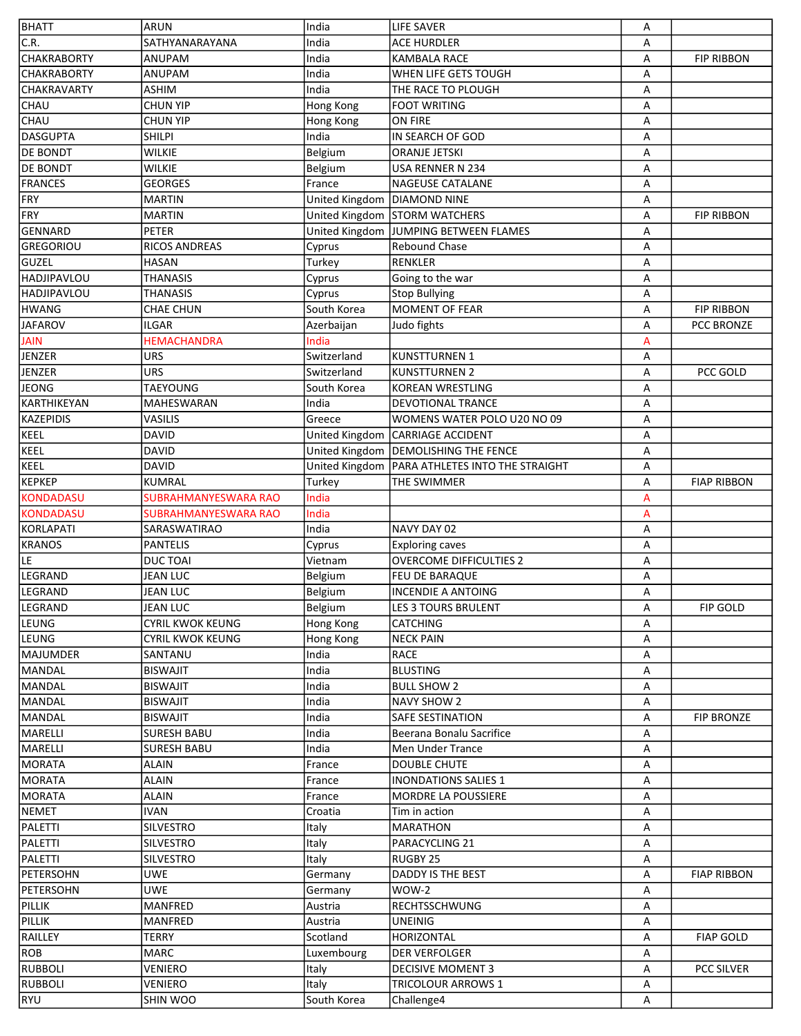| BHATT                                | <b>ARUN</b>                                                | India                         | <b>LIFE SAVER</b>                                                         | А      |                    |
|--------------------------------------|------------------------------------------------------------|-------------------------------|---------------------------------------------------------------------------|--------|--------------------|
| $\overline{\mathsf{C}}$ .R.          | SATHYANARAYANA                                             | India                         | <b>ACE HURDLER</b>                                                        | A      |                    |
| <b>CHAKRABORTY</b>                   | ANUPAM                                                     | India                         | <b>KAMBALA RACE</b>                                                       | А      | <b>FIP RIBBON</b>  |
| <b>CHAKRABORTY</b>                   | ANUPAM                                                     | India                         | WHEN LIFE GETS TOUGH                                                      | А      |                    |
| <b>CHAKRAVARTY</b>                   | <b>ASHIM</b>                                               | India                         | THE RACE TO PLOUGH                                                        | А      |                    |
| <b>CHAU</b>                          | <b>CHUN YIP</b>                                            | Hong Kong                     | <b>FOOT WRITING</b>                                                       | А      |                    |
| CHAU                                 | <b>CHUN YIP</b>                                            | Hong Kong                     | ON FIRE                                                                   | А      |                    |
| DASGUPTA                             | <b>SHILPI</b>                                              | India                         | IN SEARCH OF GOD                                                          | А      |                    |
| <b>DE BONDT</b>                      | <b>WILKIE</b>                                              | Belgium                       | <b>ORANJE JETSKI</b>                                                      | А      |                    |
| <b>DE BONDT</b>                      | <b>WILKIE</b>                                              | Belgium                       | USA RENNER N 234                                                          | А      |                    |
| <b>FRANCES</b>                       | <b>GEORGES</b>                                             | France                        | <b>NAGEUSE CATALANE</b>                                                   | А      |                    |
| FRY                                  | <b>MARTIN</b>                                              | United Kingdom   DIAMOND NINE |                                                                           | А      |                    |
| FRY                                  | <b>MARTIN</b>                                              |                               | United Kingdom STORM WATCHERS                                             | А      | <b>FIP RIBBON</b>  |
| GENNARD                              | <b>PETER</b>                                               | United Kingdom                | <b>JUMPING BETWEEN FLAMES</b>                                             | А      |                    |
| GREGORIOU                            | <b>RICOS ANDREAS</b>                                       | Cyprus                        | <b>Rebound Chase</b>                                                      | А      |                    |
| GUZEL                                | <b>HASAN</b>                                               | Turkey                        | <b>RENKLER</b>                                                            | А      |                    |
| HADJIPAVLOU                          | <b>THANASIS</b>                                            | Cyprus                        | Going to the war                                                          | А      |                    |
| <b>HADJIPAVLOU</b>                   | <b>THANASIS</b>                                            | Cyprus                        | <b>Stop Bullying</b>                                                      | А      |                    |
| HWANG                                | <b>CHAE CHUN</b>                                           | South Korea                   | MOMENT OF FEAR                                                            | А      | <b>FIP RIBBON</b>  |
| <b>JAFAROV</b>                       | <b>ILGAR</b>                                               | Azerbaijan                    | Judo fights                                                               | А      | PCC BRONZE         |
| <b>JAIN</b>                          | <b>HEMACHANDRA</b>                                         | India                         |                                                                           | A      |                    |
| JENZER                               | <b>URS</b>                                                 | Switzerland                   | <b>KUNSTTURNEN 1</b>                                                      | А      |                    |
| JENZER                               | <b>URS</b>                                                 | Switzerland                   | <b>KUNSTTURNEN 2</b>                                                      | Α      | PCC GOLD           |
| <b>JEONG</b>                         | <b>TAEYOUNG</b>                                            | South Korea                   | <b>KOREAN WRESTLING</b>                                                   | А      |                    |
| KARTHIKEYAN                          | MAHESWARAN                                                 | India                         | <b>DEVOTIONAL TRANCE</b>                                                  | А      |                    |
| KAZEPIDIS                            | VASILIS                                                    | Greece                        | WOMENS WATER POLO U20 NO 09                                               | А      |                    |
| KEEL                                 | <b>DAVID</b>                                               |                               |                                                                           | А      |                    |
| KEEL                                 | <b>DAVID</b>                                               |                               | United Kingdom   CARRIAGE ACCIDENT                                        | А      |                    |
| KEEL                                 | <b>DAVID</b>                                               | United Kingdom                | United Kingdom   DEMOLISHING THE FENCE<br>PARA ATHLETES INTO THE STRAIGHT | А      |                    |
| KEPKEP                               | <b>KUMRAL</b>                                              |                               | THE SWIMMER                                                               |        | <b>FIAP RIBBON</b> |
|                                      |                                                            | Turkey                        |                                                                           | А      |                    |
| <b>KONDADASU</b><br><b>KONDADASU</b> | <b>SUBRAHMANYESWARA RAO</b><br><b>SUBRAHMANYESWARA RAO</b> | India<br>India                |                                                                           | A      |                    |
| KORLAPATI                            | SARASWATIRAO                                               | India                         | NAVY DAY 02                                                               | A<br>А |                    |
| <b>KRANOS</b>                        | <b>PANTELIS</b>                                            |                               |                                                                           | А      |                    |
| <b>LE</b>                            |                                                            | Cyprus<br>Vietnam             | <b>Exploring caves</b><br><b>OVERCOME DIFFICULTIES 2</b>                  |        |                    |
|                                      | <b>DUCTOAI</b>                                             |                               |                                                                           | А      |                    |
| LEGRAND                              | <b>JEAN LUC</b>                                            | Belgium                       | FEU DE BARAQUE                                                            | A      |                    |
| LEGRAND                              | <b>JEAN LUC</b>                                            | Belgium                       | INCENDIE A ANTOING                                                        | А      | <b>FIP GOLD</b>    |
| LEGRAND                              | <b>JEAN LUC</b>                                            | Belgium                       | LES 3 TOURS BRULENT                                                       | Α      |                    |
| LEUNG                                | CYRIL KWOK KEUNG                                           | Hong Kong                     | <b>CATCHING</b>                                                           | A      |                    |
| LEUNG                                | <b>CYRIL KWOK KEUNG</b>                                    | Hong Kong                     | <b>NECK PAIN</b>                                                          | A      |                    |
| MAJUMDER                             | SANTANU                                                    | India                         | <b>RACE</b>                                                               | Α      |                    |
| <b>MANDAL</b>                        | <b>BISWAJIT</b>                                            | India                         | <b>BLUSTING</b>                                                           | Α      |                    |
| MANDAL                               | <b>BISWAJIT</b>                                            | India                         | <b>BULL SHOW 2</b>                                                        | Α      |                    |
| MANDAL                               | <b>BISWAJIT</b>                                            | India                         | <b>NAVY SHOW 2</b>                                                        | Α      |                    |
| MANDAL                               | <b>BISWAJIT</b>                                            | India                         | SAFE SESTINATION                                                          | Α      | <b>FIP BRONZE</b>  |
| MARELLI                              | SURESH BABU                                                | India                         | Beerana Bonalu Sacrifice                                                  | Α      |                    |
| MARELLI                              | <b>SURESH BABU</b>                                         | India                         | Men Under Trance                                                          | Α      |                    |
| <b>IMORATA</b>                       | <b>ALAIN</b>                                               | France                        | <b>DOUBLE CHUTE</b>                                                       | Α      |                    |
| MORATA                               | <b>ALAIN</b>                                               | France                        | <b>INONDATIONS SALIES 1</b>                                               | Α      |                    |
| MORATA                               | <b>ALAIN</b>                                               | France                        | <b>MORDRE LA POUSSIERE</b>                                                | Α      |                    |
| NEMET                                | <b>IVAN</b>                                                | Croatia                       | Tim in action                                                             | Α      |                    |
| PALETTI                              | SILVESTRO                                                  | Italy                         | <b>MARATHON</b>                                                           | Α      |                    |
| PALETTI                              | SILVESTRO                                                  | Italy                         | PARACYCLING 21                                                            | Α      |                    |
| PALETTI                              | <b>SILVESTRO</b>                                           | Italy                         | <b>RUGBY 25</b>                                                           | Α      |                    |
| PETERSOHN                            | <b>UWE</b>                                                 | Germany                       | DADDY IS THE BEST                                                         | А      | <b>FIAP RIBBON</b> |
| PETERSOHN                            | <b>UWE</b>                                                 | Germany                       | WOW-2                                                                     | Α      |                    |
| PILLIK                               | MANFRED                                                    | Austria                       | <b>RECHTSSCHWUNG</b>                                                      | Α      |                    |
| PILLIK                               | MANFRED                                                    | Austria                       | <b>UNEINIG</b>                                                            | Α      |                    |
| RAILLEY                              | <b>TERRY</b>                                               | Scotland                      | HORIZONTAL                                                                | Α      | <b>FIAP GOLD</b>   |
| ROB                                  | <b>MARC</b>                                                | Luxembourg                    | <b>DER VERFOLGER</b>                                                      | Α      |                    |
| <b>RUBBOLI</b>                       | <b>VENIERO</b>                                             | Italy                         | <b>DECISIVE MOMENT 3</b>                                                  | Α      | <b>PCC SILVER</b>  |
| <b>RUBBOLI</b>                       | VENIERO                                                    | Italy                         | <b>TRICOLOUR ARROWS 1</b>                                                 | Α      |                    |
| RYU                                  | SHIN WOO                                                   | South Korea                   | Challenge4                                                                | Α      |                    |